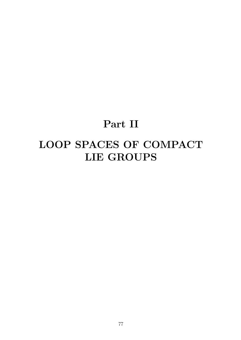## **Part II**

# **LOOP SPACES OF COMPACT LIE GROUPS**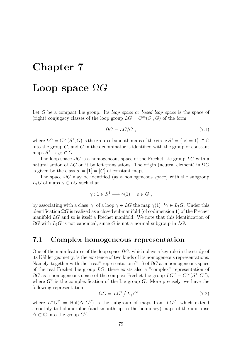## **Chapter 7**

## **Loop space** Ω*G*

Let *G* be a compact Lie group. Its *loop space* or *based loop space* is the space of (right) conjugacy classes of the loop group  $LG = C^{\infty}(S^1, G)$  of the form

$$
\Omega G = LG/G \t\t(7.1)
$$

where  $LG = C^{\infty}(S^1, G)$  is the group of smooth maps of the circle  $S^1 = \{|z| = 1\} \subset \mathbb{C}$ into the group  $G$ , and  $G$  in the denominator is identified with the group of constant maps  $S^1 \to q_0 \in G$ .

The loop space Ω*G* is a homogeneous space of the Frechet Lie group *LG* with a natural action of *LG* on it by left translations. The origin (neutral element) in Ω*G* is given by the class  $o := [\mathbf{1}] = [G]$  of constant maps.

The space Ω*G* may be identified (as a homogeneous space) with the subgroup  $L_1$ *G* of maps  $\gamma \in LG$  such that

$$
\gamma: 1 \in S^1 \longrightarrow \gamma(1) = e \in G ,
$$

by associating with a class  $[\gamma]$  of a loop  $\gamma \in LG$  the map  $\gamma(1)^{-1}\gamma \in L_1G$ . Under this identification  $\Omega G$  is realized as a closed submanifold (of codimension 1) of the Frechet manifold *LG* and so is itself a Frechet manifold. We note that this identification of  $\Omega G$  with  $L_1 G$  is not canonical, since G is not a normal subgroup in  $LG$ .

### **7.1 Complex homogeneous representation**

One of the main features of the loop space  $\Omega G$ , which plays a key role in the study of its Kähler geometry, is the existence of two kinds of its homogeneous representations. Namely, together with the "real" representation (7.1) of  $\Omega G$  as a homogeneous space of the real Frechet Lie group *LG*, there exists also a "complex" representation of  $\Omega G$  as a homogeneous space of the complex Frechet Lie group  $LG^{\mathbb{C}} = C^{\infty}(S^1, G^{\mathbb{C}})$ , where  $G^{\mathbb{C}}$  is the complexification of the Lie group *G*. More precisely, we have the following representation

$$
\Omega G = L G^{\mathbb{C}} / L_{+} G^{\mathbb{C}} , \qquad (7.2)
$$

where  $L^+G^{\mathbb{C}} = Hol(\Delta, G^{\mathbb{C}})$  is the subgroup of maps from  $LG^{\mathbb{C}}$ , which extend smoothly to holomorphic (and smooth up to the boundary) maps of the unit disc  $\Delta$  ⊂  $\mathbb C$  into the group  $G^{\mathbb C}$ .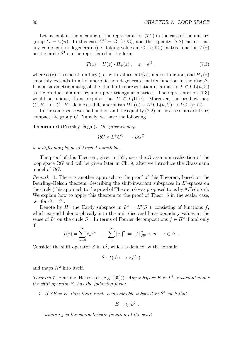Let us explain the meaning of the representation  $(7.2)$  in the case of the unitary group  $G = U(n)$ . In this case  $G^{\mathbb{C}} = GL(n, \mathbb{C})$ , and the equality (7.2) means that any complex non-degenerate (i.e. taking values in  $GL(n, \mathbb{C})$ ) matrix function  $T(z)$ on the circle  $S<sup>1</sup>$  can be represented in the form

$$
T(z) = U(z) \cdot H_+(z) \ , \quad z = e^{i\theta} \ , \tag{7.3}
$$

where  $U(z)$  is a smooth unitary (i.e. with values in  $U(n)$ ) matrix function, and  $H_+(z)$ smoothly extends to a holomorphic non-degenerate matrix function in the disc  $\Delta$ . It is a parametric analog of the standard representation of a matrix  $T \in GL(n, \mathbb{C})$ as the product of a unitary and upper-triangular matrices. The representation (7.3) would be unique, if one requires that  $U \in L_1\mathrm{U}(n)$ . Moreover, the product map  $(U, H_+) \mapsto U \cdot H_+$  defines a diffeomorphism  $\Omega U(n) \times L^+ \text{GL}(n, \mathbb{C}) \to L \text{GL}(n, \mathbb{C})$ .

In the same sense we shall understand the equality (7.2) in the case of an arbitrary compact Lie group *G*. Namely, we have the following

**Theorem 6** (Pressley–Segal)**.** *The product map*

$$
\Omega G \times L^+G^{\mathbb{C}} \longrightarrow LG^{\mathbb{C}}
$$

*is a diffeomorphism of Frechet manifolds.*

The proof of this Theorem, given in [65], uses the Grassmann realization of the loop space  $\Omega G$  and will be given later in Ch. 9, after we introduce the Grassmann model of  $\Omega G$ .

*Remark* 11*.* There is another approach to the proof of this Theorem, based on the Beurling–Helson theorem, describing the shift-invariant subspaces in  $L^2$ -spaces on the circle (this approach to the proof of Theorem 6 was proposed to us by A.Fedotov). We explain how to apply this theorem to the proof of Theor. 6 in the scalar case, i.e. for  $G = S^1$ .

Denote by  $H^2$  the Hardy subspace in  $L^2 = L^2(S^1)$ , consisting of functions f, which extend holomorphically into the unit disc and have boundary values in the sense of  $L^2$  on the circle  $S^1$ . In terms of Fourier decompositions  $f \in H^2$  if and only if

$$
f(z) = \sum_{n=0}^{\infty} c_n z^n \quad , \quad \sum_{n=0}^{\infty} |c_n|^2 := ||f||_{H^2}^2 < \infty \quad , \ z \in \Delta \ .
$$

Consider the shift operator  $S$  in  $L^2$ , which is defined by the formula

$$
S: f(z) \longmapsto zf(z)
$$

and maps  $H^2$  into itself.

*Theorem* 7 (Beurling–Helson (cf., e.g. [60]))*. Any subspace E in L*<sup>2</sup>*, invariant under the shift operator S, has the following form:*

*1.* If  $SE = E$ , then there exists a measurable subset *d* in  $S<sup>1</sup>$  such that

$$
E = \chi_d L^2 \; ,
$$

*where*  $\chi_d$  *is the characteristic function of the set d.*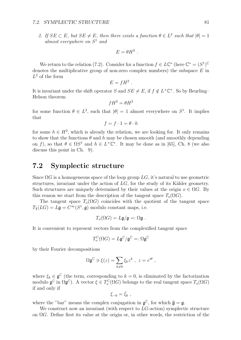#### *7.2. SYMPLECTIC STRUCTURE* 81

*2.* If  $SE \subset E$ *, but*  $SE \neq E$ *, then there exists a function*  $\theta \in L^2$  *such that*  $|\theta| = 1$ *almost everywhere on S*<sup>1</sup> *and*

$$
E=\theta H^2.
$$

We return to the relation (7.2). Consider for a function  $f \in L\mathbb{C}^*$  (here  $\mathbb{C}^* = (S^1)^{\mathbb{C}}$ denotes the multiplicative group of non-zero complex numbers) the subspace *E* in *L*<sup>2</sup> of the form

$$
E=fH^2.
$$

It is invariant under the shift operator *S* and  $SE \neq E$ , if  $f \notin L^+ \mathbb{C}^*$ . So by Beurling– Helson theorem

$$
fH^2 = \theta H^2
$$

for some function  $\theta \in L^2$ , such that  $|\theta| = 1$  almost everywhere on  $S^1$ . It implies that

$$
f = f \cdot 1 = \theta \cdot h
$$

for some  $h \in H^2$ , which is already the relation, we are looking for. It only remains to show that the functions  $\theta$  and  $h$  may be chosen smooth (and smoothly depending on *f*), so that  $\theta \in \Omega S^1$  and  $h \in L^+ \mathbb{C}^*$ . It may be done as in [65], Ch. 8 (we also discuss this point in Ch. 9).

### **7.2 Symplectic structure**

Since  $\Omega G$  is a homogeneous space of the loop group  $LG$ , it's natural to use geometric structures, invariant under the action of  $LG$ , for the study of its Kähler geometry. Such structures are uniquely determined by their values at the origin  $o \in \Omega G$ . By this reason we start from the description of the tangent space  $T_o(\Omega G)$ .

The tangent space  $T_o(\Omega G)$  coincides with the quotient of the tangent space  $T_1(LG) = L\mathfrak{g} = C^\infty(S^1, \mathfrak{g})$  modulo constant maps, i.e.

$$
T_o(\Omega G) = L\mathfrak{g}/\mathfrak{g} =: \Omega \mathfrak{g} .
$$

It is convenient to represent vectors from the complexified tangent space

$$
T_o^{\mathbb{C}}(\Omega G)=L\mathfrak{g}^{\mathbb{C}}/\mathfrak{g}^{\mathbb{C}}=:\Omega\mathfrak{g}^{\mathbb{C}}
$$

by their Fourier decompositions

$$
\Omega \mathfrak{g}^{\mathbb{C}} \ni \xi(z) = \sum_{k \neq 0} \xi_k z^k \ , \ z = e^{i\theta} \ ,
$$

where  $\xi_k \in \mathfrak{g}^{\mathbb{C}}$  (the term, corresponding to  $k = 0$ , is eliminated by the factorization modulo  $\mathfrak{g}^{\mathbb{C}}$  in  $\Omega \mathfrak{g}^{\mathbb{C}}$ ). A vector  $\xi \in T_o^{\mathbb{C}}(\Omega G)$  belongs to the real tangent space  $T_o(\Omega G)$ if and only if

$$
\xi_{-k} = \bar{\xi}_k ,
$$

where the "bar" means the complex conjugation in  $\mathfrak{g}^{\mathbb{C}}$ , for which  $\overline{\mathfrak{g}} = \mathfrak{g}$ .

We construct now an invariant (with respect to *LG*-action) symplectic structure on Ω*G*. Define first its value at the origin or, in other words, the restriction of the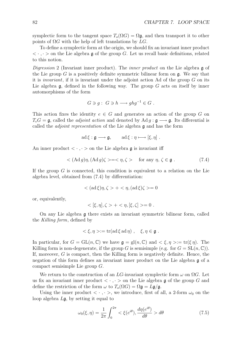symplectic form to the tangent space  $T_o(\Omega G) = \Omega \mathfrak{g}$ , and then transport it to other points of Ω*G* with the help of left translations by *LG*.

To define a symplectic form at the origin, we should fix an invariant inner product  $\langle \cdot, \cdot \rangle$  on the Lie algebra g of the group *G*. Let us recall basic definitions, related to this notion.

*Digression* 2 (Invariant inner product)*.* The *inner product* on the Lie algebra g of the Lie group  $G$  is a positively definite symmetric bilinear form on  $\mathfrak{g}$ . We say that it is *invariant*, if it is invariant under the adjoint action Ad of the group *G* on its Lie algebra  $\mathfrak{g}$ , defined in the following way. The group *G* acts on itself by inner automorphisms of the form

$$
G \ni g: G \ni h \longrightarrow ghg^{-1} \in G .
$$

This action fixes the identity  $e \in G$  and generates an action of the group  $G$  on  $T_eG = \mathfrak{g}$ , called the *adjoint action* and denoted by Ad *g* :  $\mathfrak{g} \longrightarrow \mathfrak{g}$ . Its differential is called the *adjoint representation* of the Lie algebra g and has the form

$$
ad \xi : \mathfrak{g} \longrightarrow \mathfrak{g}, \qquad ad \xi : \eta \longmapsto [\xi, \eta] .
$$

An inner product  $\langle \cdot, \cdot \rangle$  on the Lie algebra g is invariant iff

$$
\langle (\text{Ad } g) \eta, (\text{Ad } g) \zeta \rangle = \langle \eta, \zeta \rangle \quad \text{for any } \eta, \zeta \in \mathfrak{g} \; . \tag{7.4}
$$

If the group *G* is connected, this condition is equivalent to a relation on the Lie algebra level, obtained from (7.4) by differentiation:

$$
\langle (\mathrm{ad}\,\xi)\eta, \zeta \rangle + \langle \eta, (\mathrm{ad}\,\xi)\zeta \rangle = 0
$$

or, equivalently,

$$
<[\xi, \eta], \zeta> + <\eta, [\xi, \zeta]>=0.
$$

On any Lie algebra g there exists an invariant symmetric bilinear form, called the *Killing form*, defined by

$$
<\xi, \eta> := \text{tr}(\text{ad}\,\xi\,\text{ad}\,\eta) , \quad \xi, \eta \in \mathfrak{g} .
$$

In particular, for  $G = GL(n, \mathbb{C})$  we have  $\mathfrak{g} = gl(n, \mathbb{C})$  and  $\lt \xi, \eta \gt := tr(\xi \eta)$ . The Killing form is non-degenerate, if the group *G* is semisimple (e.g. for  $G = SL(n, \mathbb{C})$ ). If, moreover, *G* is compact, then the Killing form is negatively definite. Hence, the negation of this form defines an invariant inner product on the Lie algebra g of a compact semisimple Lie group *G*.

We return to the construction of an *LG*-invariant symplectic form  $\omega$  on  $\Omega G$ . Let us fix an invariant inner product  $\langle \cdot, \cdot \rangle$  on the Lie algebra g of the group G and define the restriction of the form  $\omega$  to  $T_o(\Omega G) = \Omega \mathfrak{g} = L\mathfrak{g}/\mathfrak{g}$ .

Using the inner product  $\langle \cdot, \cdot \rangle$ , we introduce, first of all, a 2-form  $\omega_0$  on the loop algebra *L*g, by setting it equal to

$$
\omega_0(\xi, \eta) = \frac{1}{2\pi} \int_0^{2\pi} \langle \xi(e^{i\theta}), \frac{d\eta(e^{i\theta})}{d\theta} \rangle d\theta \tag{7.5}
$$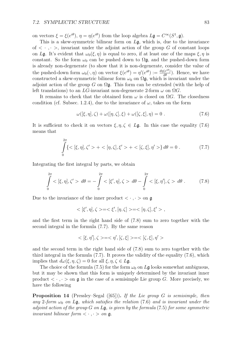on vectors  $\xi = \xi(e^{i\theta})$ ,  $\eta = \eta(e^{i\theta})$  from the loop algebra  $L\mathfrak{g} = C^{\infty}(S^1, \mathfrak{g})$ .

This is a skew-symmetric bilinear form on *L*g, which is, due to the invariance of  $\langle \cdot, \cdot \rangle$ , invariant under the adjoint action of the group G of constant loops on *Lg*. It's evident that  $\omega_0(\xi, \eta)$  is equal to zero, if at least one of the maps  $\xi, \eta$  is constant. So the form  $\omega_0$  can be pushed down to  $\Omega$ **g**, and the pushed-down form is already non-degenerate (to show that it is non-degenerate, consider the value of the pushed-down form  $\omega_0(\cdot, \eta)$  on vector  $\xi(e^{i\theta}) = \eta'(e^{i\theta}) := \frac{d\eta(e^{i\theta})}{d\theta}$ . Hence, we have constructed a skew-symmetric bilinear form  $\omega_0$  on  $\Omega$ **g**, which is invariant under the adjoint action of the group *G* on  $\Omega$ **g**. This form can be extended (with the help of left translations) to an *LG*-invariant non-degenerate 2-form  $\omega$  on  $\Omega G$ .

It remains to check that the obtained form  $\omega$  is closed on  $\Omega G$ . The closedness condition (cf. Subsec. 1.2.4), due to the invariance of  $\omega$ , takes on the form

$$
\omega([\xi,\eta],\zeta) + \omega([\eta,\zeta],\xi) + \omega([\zeta,\xi],\eta) = 0.
$$
\n(7.6)

It is sufficient to check it on vectors  $\xi, \eta, \zeta \in L\mathfrak{g}$ . In this case the equality (7.6) means that

$$
\int_{0}^{2\pi} \{ \langle \xi, \eta |, \zeta' \rangle + \langle \eta, \zeta |, \xi' \rangle + \langle \zeta, \xi |, \eta' \rangle \} d\theta = 0 . \tag{7.7}
$$

Integrating the first integral by parts, we obtain

$$
\int_{0}^{2\pi} < [\xi, \eta], \zeta' > d\theta = -\int_{0}^{2\pi} < [\xi', \eta], \zeta > d\theta - \int_{0}^{2\pi} < [\xi, \eta'], \zeta > d\theta. \tag{7.8}
$$

Due to the invariance of the inner product  $\langle \cdot, \cdot \rangle$  on g

$$
<[{\xi}', \eta], \zeta> = <{\xi}', [\eta, {\zeta}]> = <[\eta, {\zeta}], {\xi}'>
$$

and the first term in the right hand side of (7.8) sum to zero together with the second integral in the formula (7.7). By the same reason

$$
<[\xi,\eta'],\zeta>=<\eta',[\zeta,\xi]>=<[\zeta,\xi],\eta'>
$$

and the second term in the right hand side of (7.8) sum to zero together with the third integral in the formula (7.7). It proves the validity of the equality (7.6), which implies that  $d\omega(\xi, \eta, \zeta) = 0$  for all  $\xi, \eta, \zeta \in L\mathfrak{g}$ .

The choice of the formula (7.5) for the form  $\omega_0$  on  $L\mathfrak{g}$  looks somewhat ambiguous, but it may be shown that this form is uniquely determined by the invariant inner product  $\langle \cdot, \cdot \rangle$  on g in the case of a semisimple Lie group *G*. More precisely, we have the following

**Proposition 14** (Pressley–Segal ([65]))**.** *If the Lie group G is semisimple, then any* 2-form  $\omega_0$  on Lg, which satisfies the relation (7.6) and is invariant under the *adjoint action of the group G on L*g*, is given by the formula* (7.5) *for some symmetric invariant bilinear form*  $\langle \cdot, \cdot \rangle$  *on*  $\mathfrak{g}.$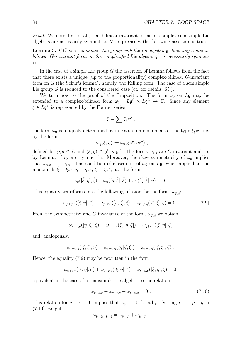*Proof.* We note, first of all, that bilinear invariant forms on complex semisimple Lie algebras are necessarily symmetric. More precisely, the following assertion is true.

**Lemma 3.** *If G is a semisimple Lie group with the Lie algebra* g*, then any complexbilinear G*-invariant form on the complexified Lie algebra  $\mathfrak{g}^{\mathbb{C}}$  *is necessarily symmetric.*

In the case of a simple Lie group *G* the assertion of Lemma follows from the fact that there exists a unique (up to the proportionality) complex-bilinear *G*-invariant form on *G* (the Schur's lemma), namely, the Killing form. The case of a semisimple Lie group *G* is reduced to the considered case (cf. for details [65]).

We turn now to the proof of the Proposition. The form  $\omega_0$  on Lg may be extended to a complex-bilinear form  $\omega_0 : L\mathfrak{g}^{\mathbb{C}} \times L\mathfrak{g}^{\mathbb{C}} \to \mathbb{C}$ . Since any element  $\xi \in L\mathfrak{g}^{\mathbb{C}}$  is represented by the Fourier series

$$
\xi = \sum \xi_p z^p ,
$$

the form  $\omega_0$  is uniquely determined by its values on monomials of the type  $\xi_p z^p$ , i.e. by the forms

$$
\omega_{p,q}(\xi,\eta) := \omega_0(\xi z^p, \eta z^q) ,
$$

defined for  $p, q \in \mathbb{Z}$  and  $(\xi, \eta) \in \mathfrak{g}^{\mathbb{C}} \times \mathfrak{g}^{\mathbb{C}}$ . The forms  $\omega_{p,q}$  are *G*-invariant and so, by Lemma, they are symmetric. Moreover, the skew-symmetricity of  $\omega_0$  implies that  $\omega_{p,q} = -\omega_{q,p}$ . The condition of closedness of  $\omega_0$  on  $L\mathfrak{g}$ , when applied to the monomials  $\tilde{\xi} = \xi z^p$ ,  $\tilde{\eta} = \eta z^q$ ,  $\tilde{\zeta} = \zeta z^r$ , has the form

$$
\omega_0([\tilde{\xi}, \tilde{\eta}], \tilde{\zeta}) + \omega_0([\tilde{\eta}, \tilde{\zeta}], \tilde{\xi}) + \omega_0([\tilde{\zeta}, \tilde{\xi}], \tilde{\eta}) = 0.
$$

This equality transforms into the following relation for the forms  $\omega_{p,q}$ :

$$
\omega_{p+q,r}([\xi,\eta],\zeta) + \omega_{q+r,p}([\eta,\zeta],\xi) + \omega_{r+p,q}([\zeta,\xi],\eta) = 0.
$$
 (7.9)

From the symmetricity and *G*-invariance of the forms  $\omega_{p,q}$  we obtain

$$
\omega_{q+r,p}([\eta,\zeta],\xi) = \omega_{q+r,p}(\xi,[\eta,\zeta]) = \omega_{q+r,p}([\xi,\eta],\zeta)
$$

and, analogously,

$$
\omega_{r+p,q}([\zeta,\xi],\eta)=\omega_{r+p,q}(\eta,[\zeta,\xi])=\omega_{r+p,q}([\xi,\eta],\zeta).
$$

Hence, the equality (7.9) may be rewritten in the form

$$
\omega_{p+q,r}([\xi,\eta],\zeta)+\omega_{q+r,p}([\xi,\eta],\zeta)+\omega_{r+p,q}([\xi,\eta],\zeta)=0,
$$

equivalent in the case of a semisimple Lie algebra to the relation

$$
\omega_{p+q,r} + \omega_{q+r,p} + \omega_{r+p,q} = 0.
$$
\n(7.10)

This relation for  $q = r = 0$  implies that  $\omega_{p,0} = 0$  for all p. Setting  $r = -p - q$  in (7.10), we get

$$
\omega_{p+q,-p-q} = \omega_{p,-p} + \omega_{q,-q} ,
$$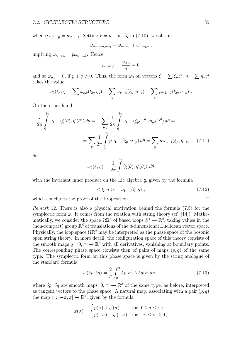whence  $\omega_{p,-p} = p\omega_{1,-1}$ . Setting  $r = n - p - q$  in (7.10), we obtain

$$
\omega_{n-p-q,p+q} = \omega_{n-p,p} + \omega_{n-q,q} ,
$$

 $\text{implying } \omega_{n-p,p} = p\omega_{n-1,1}.$  Hence,

$$
\omega_{n-1,1}=\frac{\omega_{0,n}}{n}=0
$$

and so  $\omega_{p,q} = 0$ , if  $p + q \neq 0$ . Thus, the form  $\omega_0$  on vectors  $\xi = \sum \xi_p z^p$ ,  $\eta = \sum \eta_q z^q$ takes the value

$$
\omega_0(\xi, \eta) = \sum \omega_{p,q}(\xi_p, \eta_q) = \sum_p \omega_{p,-p}(\xi_p, \eta_{-p}) = \sum_p p \omega_{1,-1}(\xi_p, \eta_{-p}).
$$

On the other hand

$$
\frac{i}{2\pi} \int_{0}^{2\pi} \omega_{1,-1}(\xi(\theta), \eta'(\theta)) d\theta = -\sum_{p,q} \frac{1}{2\pi} \int_{0}^{2\pi} \omega_{1,-1}(\xi_p e^{ip\theta}, q\eta_q e^{iq\theta}) d\theta =
$$
\n
$$
= \sum_{p} \frac{1}{2\pi} \int_{0}^{2\pi} p\omega_{1,-1}(\xi_p, \eta_{-p}) d\theta = \sum_{p} p\omega_{1,-1}(\xi_p, \eta_{-p}) . \quad (7.11)
$$

So

$$
\omega_0(\xi, \eta) = \frac{1}{2\pi} \int\limits_0^{2\pi} \langle \xi(\theta), \eta'(\theta) \rangle \ d\theta
$$

with the invariant inner product on the Lie algebra **q**, given by the formula

$$
\langle \xi, \eta \rangle := \omega_{1,-1}(\xi, \eta) \tag{7.12}
$$

which concludes the proof of the Proposition.

*Remark* 12*.* There is also a physical motivation behind the formula (7.5) for the symplectic form  $\omega$ . It comes from the relation with string theory (cf. [14]). Mathematically, we consider the space  $\Omega \mathbb{R}^d$  of based loops  $S^1 \to \mathbb{R}^d$ , taking values in the (non-compact) group  $\mathbb{R}^d$  of translations of the *d*-dimensional Euclidean vector space. Physically, the loop space ΩR*<sup>d</sup>* may be interpreted as the phase space of the bosonic open string theory. In more detail, the configuration space of this theory consists of the smooth maps  $q: [0, \pi] \to \mathbb{R}^d$  with all derivatives, vanishing at boundary points. The corresponding phase space consists then of pairs of maps  $(p, q)$  of the same type. The symplectic form on this phase space is given by the string analogue of the standard formula

$$
\omega(\delta p, \delta q) = \frac{2}{\pi} \int_0^{\pi} \delta p(\sigma) \wedge \delta q(\sigma) d\sigma , \qquad (7.13)
$$

where  $\delta p$ ,  $\delta q$  are smooth maps  $[0, \pi] \to \mathbb{R}^d$  of the same type, as before, interpreted as tangent vectors to the phase space. A natural map, associating with a pair  $(p, q)$ the map  $x : [-\pi, \pi] \to \mathbb{R}^d$ , given by the formula

$$
x(\sigma) = \begin{cases} p(\sigma) + q'(\sigma) & \text{for } 0 \le \sigma \le \pi; \\ p(-\sigma) + q'(-\sigma) & \text{for } -\pi \le \sigma \le 0, \end{cases}
$$

 $\Box$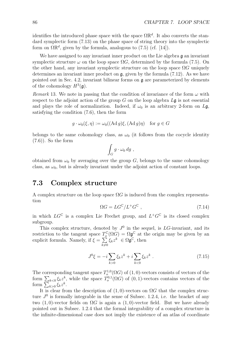identifies the introduced phase space with the space  $\Omega \mathbb{R}^d$ . It also converts the standard symplectic form (7.13) on the phase space of string theory into the symplectic form on  $\Omega \mathbb{R}^d$ , given by the formula, analogous to (7.5) (cf. [14]).

We have assigned to any invariant inner product on the Lie algebra g an invariant symplectic structure  $\omega$  on the loop space  $\Omega G$ , determined by the formula (7.5). On the other hand, any invariant symplectic structure on the loop space  $\Omega G$  uniquely determines an invariant inner product on  $\mathfrak{g}$ , given by the formula (7.12). As we have pointed out in Sec. 4.2, invariant bilinear forms on  $\mathfrak a$  are parameterized by elements of the cohomology  $H^3(\mathfrak{g})$ .

*Remark* 13. We note in passing that the condition of invariance of the form  $\omega$  with respect to the adjoint action of the group *G* on the loop algebra *L*g is not essential and plays the role of normalization. Indeed, if  $\omega_0$  is an arbitrary 2-form on Lg, satisfying the condition (7.6), then the form

$$
g \cdot \omega_0(\xi, \eta) := \omega_0((\text{Ad }g)\xi, (\text{Ad }g)\eta) \quad \text{for } g \in G
$$

belongs to the same cohomology class, as  $\omega_0$  (it follows from the cocycle identity (7.6)). So the form

$$
\int_G g \cdot \omega_0 \, dg \ ,
$$

obtained from  $\omega_0$  by averaging over the group  $G$ , belongs to the same cohomology class, as  $\omega_0$ , but is already invariant under the adjoint action of constant loops.

### **7.3 Complex structure**

A complex structure on the loop space  $\Omega G$  is induced from the complex representation

$$
\Omega G = LG^{\mathbb{C}} / L^{+} G^{\mathbb{C}} \t{, \t(7.14)}
$$

in which  $LG^{\mathbb{C}}$  is a complex Lie Frechet group, and  $L^+G^{\mathbb{C}}$  is its closed complex subgroup.

This complex structure, denoted by  $J^0$  in the sequel, is *LG*-invariant, and its restriction to the tangent space  $T_c^{\mathbb{C}}(\Omega G) = \Omega \mathfrak{g}^{\mathbb{C}}$  at the origin may be given by an explicit formula. Namely, if  $\xi = \sum_{k \neq 0} \xi_k z^k \in \Omega \mathfrak{g}^{\mathbb{C}}$ , then

$$
J^{0}\xi = -i\sum_{k>0} \xi_{k} z^{k} + i\sum_{k<0} \xi_{k} z^{k} . \qquad (7.15)
$$

The corresponding tangent space  $T_o^{1,0}(\Omega G)$  of  $(1,0)$ -vectors consists of vectors of the form  $\sum_{k<0} \xi_k z^k$ , while the space  $T_o^{0,1}(\Omega G)$  of  $(0,1)$ -vectors contains vectors of the form  $\sum_{k>0} \xi_k z^k$ .

It is clear from the description of  $(1,0)$ -vectors on  $\Omega G$  that the complex structure  $J^0$  is formally integrable in the sense of Subsec. 1.2.4, i.e. the bracket of any two  $(1,0)$ -vector fields on  $\Omega G$  is again a  $(1,0)$ -vector field. But we have already pointed out in Subsec. 1.2.4 that the formal integrability of a complex structure in the infinite-dimensional case does not imply the existence of an atlas of coordinate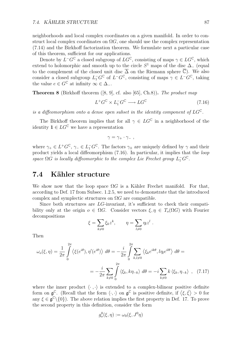neighborhoods and local complex coordinates on a given manifold. In order to construct local complex coordinates on  $\Omega$ *G*, one should use the complex representation (7.14) and the Birkhoff factorization theorem. We formulate next a particular case of this theorem, sufficient for our applications.

Denote by  $L^-G^{\mathbb{C}}$  a closed subgroup of  $LG^{\mathbb{C}}$ , consisting of maps  $\gamma \in LG^{\mathbb{C}}$ , which extend to holomorphic and smooth up to the circle  $S^1$  maps of the disc  $\Delta_-\$ <sup>*-*</sup> (equal to the complement of the closed unit disc  $\overline{\Delta}$  on the Riemann sphere  $\overline{\mathbb{C}}$ ). We also consider a closed subgroup  $L_1^- G^{\mathbb{C}}$  of  $L^- G^{\mathbb{C}}$ , consisting of maps  $\gamma \in L^- G^{\mathbb{C}}$ , taking the value  $e \in G^{\mathbb{C}}$  at infinity  $\infty \in \Delta_{-}$ .

**Theorem 8** (Birkhoff theorem ([8, 9], cf. also [65], Ch.8))**.** *The product map*

$$
L^+G^{\mathbb{C}} \times L_1^-G^{\mathbb{C}} \longrightarrow LG^{\mathbb{C}} \tag{7.16}
$$

*is a diffeomorphism onto a dense open subset in the identity component of*  $LG^{\mathbb{C}}$ .

The Birkhoff theorem implies that for all  $\gamma \in LG^{\mathbb{C}}$  in a neighborhood of the identity  $\mathbf{1} \in LG^{\mathbb{C}}$  we have a representation

$$
\gamma = \gamma_+ \cdot \gamma_- \ ,
$$

where  $\gamma_+ \in L^+G^{\mathbb{C}}, \gamma_- \in L_1^-G^{\mathbb{C}}$ . The factors  $\gamma_{\pm}$  are uniquely defined by  $\gamma$  and their product yields a local diffeomorphism (7.16). In particular, it implies that the *loop space*  $\Omega G$  *is locally diffeomorphic to the complex Lie Frechet group*  $L_1^- G^{\mathbb{C}}$ .

### **7.4 K¨ahler structure**

We show now that the loop space  $\Omega G$  is a Kähler Frechet manifold. For that, according to Def. 17 from Subsec. 1.2.5, we need to demonstrate that the introduced complex and symplectic structures on  $\Omega G$  are compatible.

Since both structures are *LG*-invariant, it's sufficient to check their compatibility only at the origin  $o \in \Omega G$ . Consider vectors  $\xi, \eta \in T_o(\Omega G)$  with Fourier decompositions

$$
\xi = \sum_{k \neq 0} \xi_k z^k, \qquad \eta = \sum_{l \neq 0} \eta_l z^l.
$$

Then

$$
\omega_o(\xi, \eta) = \frac{1}{2\pi} \int_0^{2\pi} \langle \xi(e^{i\theta}), \eta'(e^{i\theta}) \rangle \, d\theta = -\frac{i}{2\pi} \int_0^{2\pi} \sum_{k,l \neq 0} \langle \xi_k e^{ik\theta}, l\eta_l e^{il\theta} \rangle \, d\theta =
$$
\n
$$
= -\frac{i}{2\pi} \sum_{k \neq 0} \int_0^{2\pi} \langle \xi_k, k\eta_{-k} \rangle \, d\theta = -i \sum_{k \neq 0} k \langle \xi_k, \eta_{-k} \rangle \quad (7.17)
$$

where the inner product  $\langle \cdot, \cdot \rangle$  is extended to a complex-bilinear positive definite form on  $\mathfrak{g}^{\mathbb{C}}$ . (Recall that the form  $\langle \cdot, \cdot \rangle$  on  $\mathfrak{g}^{\mathbb{C}}$  is positive definite, if  $\langle \xi, \bar{\xi} \rangle > 0$  for any  $\xi \in \mathfrak{g}^{\mathbb{C}} \setminus \{0\}$ . The above relation implies the first property in Def. 17. To prove the second property in this definition, consider the form

$$
g^0_o(\xi,\eta):=\omega_0(\xi,J^0\eta)
$$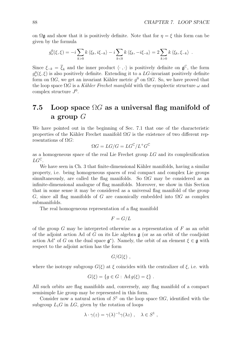on  $\Omega$ **g** and show that it is positively definite. Note that for  $\eta = \xi$  this form can be given by the formula

$$
g_o^0(\xi,\xi) = -i \sum_{k>0} k \langle \xi_k, i\xi_{-k} \rangle - i \sum_{k<0} k \langle \xi_k, -i\xi_{-k} \rangle = 2 \sum_{k>0} k \langle \xi_k, \xi_{-k} \rangle.
$$

Since  $\xi_{-k} = \overline{\xi}_k$  and the inner product  $\langle \cdot, \cdot \rangle$  is positively definite on  $\mathfrak{g}^{\mathbb{C}}$ , the form  $g_o^0(\xi, \xi)$  is also positively definite. Extending it to a *LG*-invariant positively definite form on  $\Omega G$ , we get an invariant Kähler metric  $q^0$  on  $\Omega G$ . So, we have proved that the loop space  $\Omega G$  is a *K*ähler Frechet manifold with the symplectic structure  $\omega$  and complex structure *J*<sup>0</sup>.

### **7.5 Loop space** Ω*G* **as a universal flag manifold of a group** *G*

We have pointed out in the beginning of Sec. 7.1 that one of the characteristic properties of the Kähler Frechet manifold  $\Omega G$  is the existence of two different representations of Ω*G*:

$$
\Omega G = LG/G = LG^{\mathbb{C}}/L^+G^{\mathbb{C}}
$$

as a homogeneous space of the real Lie Frechet group *LG* and its complexification *LG*<sup>C</sup>.

We have seen in Ch. 3 that finite-dimensional Kähler manifolds, having a similar property, i.e. being homogeneous spaces of real compact and complex Lie groups simultaneously, are called the flag manifolds. So  $\Omega G$  may be considered as an infinite-dimensional analogue of flag manifolds. Moreover, we show in this Section that in some sense it may be considered as a universal flag manifold of the group *G*, since all flag manifolds of *G* are canonically embedded into  $\Omega G$  as complex submanifolds.

The real homogeneous representation of a flag manifold

$$
F = G/L
$$

of the group *G* may be interpreted otherwise as a representation of *F* as an orbit of the adjoint action Ad of *G* on its Lie algebra g (or as an orbit of the coadjoint action Ad<sup>\*</sup> of *G* on the dual space  $\mathfrak{g}^*$ ). Namely, the orbit of an element  $\xi \in \mathfrak{g}$  with respect to the adjoint action has the form

$$
G/G(\xi) ,
$$

where the isotropy subgroup  $G(\xi)$  at  $\xi$  coincides with the centralizer of  $\xi$ , i.e. with

$$
G(\xi) = \{ g \in G : \mathrm{Ad}\,g(\xi) = \xi \} .
$$

All such orbits are flag manifolds and, conversely, any flag manifold of a compact semisimple Lie group may be represented in this form.

Consider now a natural action of  $S^1$  on the loop space  $\Omega G$ , identified with the subgroup  $L_1G$  in  $LG$ , given by the rotation of loops

$$
\lambda \cdot \gamma(z) = \gamma(\lambda)^{-1} \gamma(\lambda z) , \quad \lambda \in S^1 ,
$$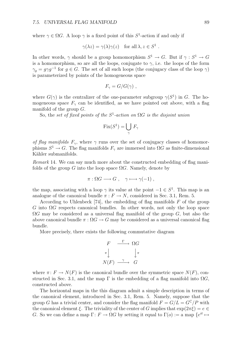where  $\gamma \in \Omega G$ . A loop  $\gamma$  is a fixed point of this  $S^1$ -action if and only if

$$
\gamma(\lambda z) = \gamma(\lambda)\gamma(z)
$$
 for all  $\lambda, z \in S^1$ .

In other words,  $\gamma$  should be a group homomorphism  $S^1 \to G$ . But if  $\gamma : S^1 \to G$ is a homomorphism, so are all the loops, conjugate to  $\gamma$ , i.e. the loops of the form  $\gamma_q = g \gamma g^{-1}$  for  $q \in G$ . The set of all such loops (the conjugacy class of the loop  $\gamma$ ) is parameterized by points of the homogeneous space

$$
F_{\gamma} = G/G(\gamma) ,
$$

where  $G(\gamma)$  is the centralizer of the one-parameter subgroup  $\gamma(S^1)$  in *G*. The homogeneous space  $F_\gamma$  can be identified, as we have pointed out above, with a flag manifold of the group *G*.

So, the *set of fixed points of the*  $S^1$ -*action on*  $\Omega G$  *is the disjoint union* 

$$
Fix(S^1) = \bigcup_{\gamma} F_{\gamma}
$$

*of flag manifolds*  $F_\gamma$ , where  $\gamma$  runs over the set of conjugacy classes of homomorphisms  $S^1 \to G$ . The flag manifolds  $F_\gamma$  are immersed into  $\Omega G$  as finite-dimensional Kähler submanifolds.

*Remark* 14*.* We can say much more about the constructed embedding of flag manifolds of the group *G* into the loop space  $\Omega$ *G*. Namely, denote by

$$
\pi : \Omega G \longrightarrow G , \quad \gamma \longmapsto \gamma(-1) ,
$$

the map, associating with a loop  $\gamma$  its value at the point  $-1 \in S^1$ . This map is an analogue of the canonical bundle  $\pi : F \to N$ , considered in Sec. 3.1, Rem. 5.

According to Uhlenbeck [74], the embedding of flag manifolds *F* of the group *G* into Ω*G* respects canonical bundles. In other words, not only the loop space Ω*G* may be considered as a universal flag manifold of the group *G*, but also the above canonical bundle  $\pi$  :  $\Omega G \to G$  may be considered as a universal canonical flag bundle.

More precisely, there exists the following commutative diagram

$$
F \xrightarrow{\Gamma} \Omega G
$$

$$
\pi \downarrow \qquad \qquad \downarrow \pi
$$

$$
N(F) \xrightarrow{\gamma} G
$$

where  $\pi: F \to N(F)$  is the canonical bundle over the symmetric space  $N(F)$ , constructed in Sec. 3.1, and the map  $\Gamma$  is the embedding of a flag manifold into  $\Omega G$ . constructed above.

The horizontal maps in the this diagram admit a simple description in terms of the canonical element, introduced in Sec. 3.1, Rem. 5. Namely, suppose that the group *G* has a trivial center, and consider the flag manifold  $F = G/L = G^C/P$  with the canonical element  $\xi$ . The triviality of the center of *G* implies that  $\exp(2\pi\xi) = e \in$ *G*. So we can define a map  $\Gamma: F \to \Omega G$  by setting it equal to  $\Gamma(o) :=$  a map  $\{e^{it} \mapsto$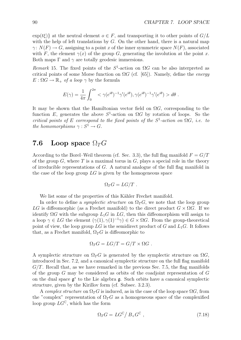$\exp(t\xi)$  at the neutral element  $o \in F$ , and transporting it to other points of  $G/L$ with the help of left translations by *G*. On the other hand, there is a natural map  $\gamma: N(F) \to G$ , assigning to a point *x* of the inner symmetric space  $N(F)$ , associated with *F*, the element  $\gamma(x)$  of the group *G*, generating the involution at the point *x*. Both maps  $\Gamma$  and  $\gamma$  are totally geodesic immersions.

*Remark* 15. The fixed points of the  $S^1$ -action on  $\Omega G$  can be also interpreted as critical points of some Morse function on Ω*G* (cf. [65]). Namely, define the *energy*  $E: \Omega G \to \mathbb{R}_+$  *of a loop*  $\gamma$  by the formula

$$
E(\gamma) = \frac{1}{4\pi} \int_0^{2\pi} \langle \gamma(e^{i\theta})^{-1} \gamma'(e^{i\theta}), \gamma(e^{i\theta})^{-1} \gamma'(e^{i\theta}) \rangle d\theta.
$$

It may be shown that the Hamiltonian vector field on  $\Omega G$ , corresponding to the function *E*, generates the above  $S^1$ -action on  $\Omega G$  by rotation of loops. So the *critical points of*  $E$  *correspond to the fixed points of the*  $S^1$ -*action on*  $\Omega G$ *, i.e. to the homomorphisms*  $\gamma : S^1 \to G$ .

### **7.6** Loop space  $\Omega_T G$

According to the Borel–Weil theorem (cf. Sec. 3.3), the full flag manifold  $F = G/T$ of the group  $G$ , where  $T$  is a maximal torus in  $G$ , plays a special role in the theory of irreducible representations of *G*. A natural analogue of the full flag manifold in the case of the loop group *LG* is given by the homogeneous space

$$
\Omega_T G = LG/T \ .
$$

We list some of the properties of this Kähler Frechet manifold.

In order to define a *symplectic structure* on  $\Omega_T G$ , we note that the loop group LG is diffeomorphic (as a Frechet manifold) to the direct product  $G \times \Omega G$ . If we identify  $\Omega G$  with the subgroup  $L_1 G$  in  $LG$ , then this diffeomorphism will assign to a loop  $\gamma \in LG$  the element  $(\gamma(1), \gamma(1)^{-1}\gamma) \in G \times \Omega G$ . From the group-theoretical point of view, the loop group  $LG$  is the semidirect product of  $G$  and  $L_1G$ . It follows that, as a Frechet manifold,  $\Omega_T G$  is diffeomorphic to

$$
\Omega_T G = LG/T = G/T \times \Omega G .
$$

A symplectic structure on  $\Omega_T G$  is generated by the symplectic structure on  $\Omega G$ , introduced in Sec. 7.2, and a canonical symplectic structure on the full flag manifold *G/T*. Recall that, as we have remarked in the previous Sec. 7.5, the flag manifolds of the group *G* may be considered as orbits of the coadjoint representation of *G* on the dual space g*<sup>∗</sup>* to the Lie algebra g. Such orbits have a canonical symplectic structure, given by the Kirillov form (cf. Subsec. 3.2.3).

A *complex structure* on  $\Omega_T G$  is induced, as in the case of the loop space  $\Omega G$ , from the "complex" representation of  $\Omega_T G$  as a homogeneous space of the complexified loop group  $LG^{\mathbb{C}}$ , which has the form

$$
\Omega_T G = L G^{\mathbb{C}} / B_+ G^{\mathbb{C}} \,, \tag{7.18}
$$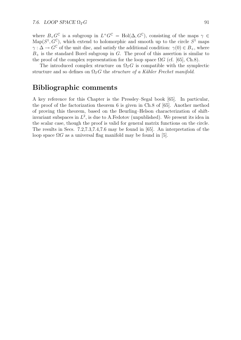where  $B_+G^{\mathbb{C}}$  is a subgroup in  $L^+G^{\mathbb{C}} = Hol(\Delta, G^{\mathbb{C}})$ , consisting of the maps  $\gamma \in$  $\text{Map}(S^1, G^{\mathbb{C}})$ , which extend to holomorphic and smooth up to the circle  $S^1$  maps  $\gamma : \Delta \to G^{\mathbb{C}}$  of the unit disc, and satisfy the additional condition:  $\gamma(0) \in B_+$ , where  $B_{+}$  is the standard Borel subgroup in *G*. The proof of this assertion is similar to the proof of the complex representation for the loop space  $\Omega G$  (cf. [65], Ch.8).

The introduced complex structure on  $\Omega_T G$  is compatible with the symplectic structure and so defines on  $\Omega_T G$  the *structure of a Kähler Frechet manifold*.

### **Bibliographic comments**

A key reference for this Chapter is the Pressley–Segal book [65]. In particular, the proof of the factorization theorem 6 is given in Ch.8 of [65]. Another method of proving this theorem, based on the Beurling–Helson characterization of shiftinvariant subspaces in  $L^2$ , is due to A.Fedotov (unpublished). We present its idea in the scalar case, though the proof is valid for general matrix functions on the circle. The results in Secs. 7.2,7.3,7.4,7.6 may be found in [65]. An interpretation of the loop space  $\Omega G$  as a universal flag manifold may be found in [5].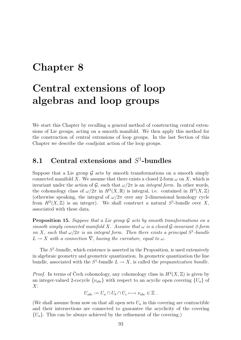### **Chapter 8**

## **Central extensions of loop algebras and loop groups**

We start this Chapter by recalling a general method of constructing central extensions of Lie groups, acting on a smooth manifold. We then apply this method for the construction of central extensions of loop groups. In the last Section of this Chapter we describe the coadjoint action of the loop groups.

### **8.1 Central extensions and** *S*<sup>1</sup>**-bundles**

Suppose that a Lie group  $\mathcal G$  acts by smooth transformations on a smooth simply connected manifold *X*. We assume that there exists a closed 2-form  $\omega$  on X, which is invariant under the action of *G*, such that  $\omega/2\pi$  is an *integral form*. In other words, the cohomology class of  $\omega/2\pi$  in  $H^2(X,\mathbb{R})$  is integral, i.e. contained in  $H^2(X,\mathbb{Z})$ (otherwise speaking, the integral of  $\omega/2\pi$  over any 2-dimensional homology cycle from  $H^2(X,\mathbb{Z})$  is an integer). We shall construct a natural  $S^1$ -bundle over X, associated with these data.

**Proposition 15.** *Suppose that a Lie group G acts by smooth transformations on a smooth simply connected manifold*  $X$ *. Assume that*  $\omega$  *is a closed G-invariant 2-form on X, such that*  $\omega/2\pi$  *is an integral form. Then there exists a principal*  $S^1$ -bundle  $L \rightarrow X$  *with* a connection  $\nabla$ *, having the curvature, equal to*  $\omega$ *.* 

The *S*<sup>1</sup>-bundle, which existence is asserted in the Proposition, is used extensively in algebraic geometry and geometric quantization. In geometric quantization the line bundle, associated with the  $S^1$ -bundle  $L \rightarrow X$ , is called the *prequantization bundle*.

*Proof.* In terms of Čech cohomology, any cohomology class in  $H^2(X,\mathbb{Z})$  is given by an integer-valued 2-cocycle  $\{\nu_{abc}\}\$  with respect to an acyclic open covering  $\{U_a\}$  of *X*:

$$
U_{abc} := U_a \cap U_b \cap U_c \longmapsto \nu_{abc} \in \mathbb{Z} .
$$

(We shall assume from now on that all open sets  $U_a$  in this covering are contractible and their intersections are connected to guarantee the acyclicity of the covering *{Ua}*. This can be always achieved by the refinement of the covering.)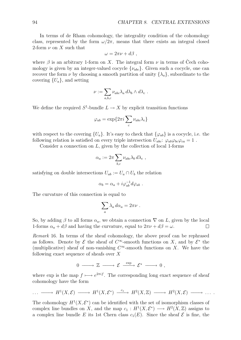In terms of de Rham cohomology, the integrality condition of the cohomology class, represented by the form  $\omega/2\pi$ , means that there exists an integral closed 2-form  $\nu$  on X such that

$$
\omega = 2\pi \nu + d\beta ,
$$

where  $\beta$  is an arbitrary 1-form on *X*. The integral form  $\nu$  in terms of Cech cohomology is given by an integer-valued cocycle  $\{\nu_{abc}\}$ . Given such a cocycle, one can recover the form  $\nu$  by choosing a smooth partition of unity  $\{\lambda_a\}$ , subordinate to the covering  $\{U_a\}$ , and setting

$$
\nu := \sum_{a,b,c} \nu_{abc} \lambda_a d\lambda_b \wedge d\lambda_c .
$$

We define the required  $S^1$ -bundle  $L \rightarrow X$  by explicit transition functions

$$
\varphi_{ab} = \exp\{2\pi i \sum_c \nu_{abc} \lambda_c\}
$$

with respect to the covering  ${U_a}$ . It's easy to check that  ${\varphi_{ab}}$  is a cocycle, i.e. the following relation is satisfied on every triple intersection  $U_{abc}$ :  $\varphi_{ab}\varphi_{bc}\varphi_{ca} = 1$ .

Consider a connection on *L*, given by the collection of local 1-forms

$$
\alpha_a := 2\pi \sum_{b,c} \nu_{abc} \lambda_b d\lambda_c ,
$$

satisfying on double intersections  $U_{ab} := U_a \cap U_b$  the relation

$$
\alpha_b = \alpha_a + i \varphi_{ab}^{-1} d\varphi_{ab} .
$$

The curvature of this connection is equal to

$$
\sum_a \lambda_a \, d\alpha_a = 2\pi\nu \; .
$$

So, by adding  $\beta$  to all forms  $\alpha_a$ , we obtain a connection  $\nabla$  on *L*, given by the local 1-forms  $\alpha_a + d\beta$  and having the curvature, equal to  $2\pi\nu + d\beta = \omega$ .  $\Box$ 

*Remark* 16*.* In terms of the sheaf cohomology, the above proof can be rephrased as follows. Denote by  $\mathcal E$  the sheaf of  $C^\infty$ -smooth functions on X, and by  $\mathcal E^*$  the (multiplicative) sheaf of non-vanishing  $C^{\infty}$ -smooth functions on *X*. We have the following exact sequence of sheafs over *X*

$$
0 \longrightarrow \mathbb{Z} \longrightarrow \mathcal{E} \stackrel{\exp}{\longrightarrow} \mathcal{E}^* \longrightarrow 0 ,
$$

where exp is the map  $f \mapsto e^{2\pi i f}$ . The corresponding long exact sequence of sheaf cohomology have the form

$$
\cdots \longrightarrow H^1(X,\mathcal{E}) \longrightarrow H^1(X,\mathcal{E}^*) \longrightarrow H^2(X,\mathbb{Z}) \longrightarrow H^2(X,\mathcal{E}) \longrightarrow \cdots
$$

The cohomology  $H^1(X, \mathcal{E}^*)$  can be identified with the set of isomorphism classes of complex line bundles on *X*, and the map  $c_1 : H^1(X, \mathcal{E}^*) \longrightarrow H^2(X, \mathbb{Z})$  assigns to a complex line bundle *E* its 1st Chern class  $c_1(E)$ . Since the sheaf  $\mathcal E$  is fine, the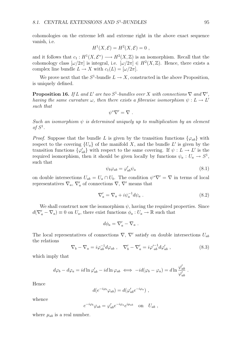cohomologies on the extreme left and extreme right in the above exact sequence vanish, i.e.

$$
H^1(X, \mathcal{E}) = H^2(X, \mathcal{E}) = 0,
$$

and it follows that  $c_1 : H^1(X, \mathcal{E}^*) \longrightarrow H^2(X, \mathbb{Z})$  is an isomorphism. Recall that the cohomology class  $\left[\omega/2\pi\right]$  is integral, i.e.  $\left[\omega/2\pi\right] \in H^2(X,\mathbb{Z})$ . Hence, there exists a complex line bundle  $L \to X$  with  $c_1(L) = [\omega/2\pi]$ .

We prove next that the  $S^1$ -bundle  $L \to X$ , constructed in the above Proposition, is uniquely defined.

**Proposition 16.** *If L* and *L'* are two  $S^1$ -bundles over  $X$  with connections  $\nabla$  and  $\nabla'$ , *having the same curvature*  $\omega$ *, then there exists a fibrewise isomorphism*  $\psi: L \to L'$ *such that*

$$
\psi^*\nabla'=\nabla.
$$

*Such an isomorphism ψ is determined uniquely up to multiplication by an element*  $of S<sup>1</sup>$ .

*Proof.* Suppose that the bundle *L* is given by the transition functions  $\{\varphi_{ab}\}\$  with respect to the covering  ${U_a}$  of the manifold *X*, and the bundle *L'* is given by the transition functions  $\{\varphi'_{ab}\}$  with respect to the same covering. If  $\psi: L \to L'$  is the required isomorphism, then it should be given locally by functions  $\psi_a: U_a \to S^1$ , such that

$$
\psi_b \varphi_{ab} = \varphi'_{ab} \psi_a \tag{8.1}
$$

on double intersections  $U_{ab} = U_a \cap U_b$ . The condition  $\psi^* \nabla' = \nabla$  in terms of local representatives  $\nabla_a$ ,  $\nabla'_a$  of connections  $\nabla$ ,  $\nabla'$  means that

$$
\nabla_a' = \nabla_a + i\psi_a^{-1} d\psi_a \tag{8.2}
$$

We shall construct now the isomorphism  $\psi$ , having the required properties. Since  $d(\nabla_a' - \nabla_a) \equiv 0$  on  $U_a$ , there exist functions  $\phi_a : U_a \to \mathbb{R}$  such that

$$
d\phi_a = \nabla'_a - \nabla_a.
$$

The local representatives of connections *∇*, *∇′* satisfy on double intersections *Uab* the relations

$$
\nabla_b - \nabla_a = i\varphi_{ab}^{-1}d\varphi_{ab} , \quad \nabla'_b - \nabla'_a = i\varphi_{ab}^{-1}d\varphi'_{ab} , \qquad (8.3)
$$

which imply that

$$
d\varphi_b - d\varphi_a = id \ln \varphi'_{ab} - id \ln \varphi_{ab} \iff -id(\varphi_b - \varphi_a) = d \ln \frac{\varphi'_{ab}}{\varphi'_{ab}}.
$$

Hence

$$
d(e^{-i\varphi_b}\varphi_{ab}) = d(\varphi'_{ab}e^{-i\varphi_a}) ,
$$

whence

$$
e^{-i\varphi_b}\varphi_{ab} = \varphi'_{ab}e^{-i\varphi_a}e^{i\mu_{ab}} \quad \text{on} \quad U_{ab} ,
$$

where  $\mu_{ab}$  is a real number.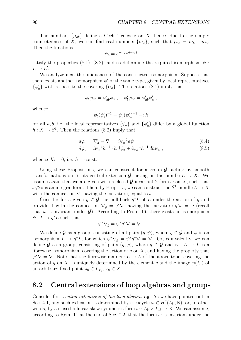The numbers  $\{\mu_{ab}\}\$  define a Čech 1-cocycle on X, hence, due to the simply connectedness of *X*, we can find real numbers  $\{m_a\}$ , such that  $\mu_{ab} = m_b - m_a$ . Then the functions

$$
\psi_a = e^{-i(\varphi_a + m_a)}
$$

satisfy the properties  $(8.1)$ ,  $(8.2)$ , and so determine the required isomorphism  $\psi$ :  $L \rightarrow L'$ .

We analyze next the uniqueness of the constructed isomorphism. Suppose that there exists another isomorphism  $\psi'$  of the same type, given by local representatives  $\{\psi'_a\}$  with respect to the covering  $\{U_a\}$ . The relations (8.1) imply that

$$
\psi_b \varphi_{ab} = \varphi'_{ab} \psi_a \ , \quad \psi'_b \varphi_{ab} = \varphi'_{ab} \psi'_a \ ,
$$

whence

$$
\psi_b(\psi_b')^{-1} = \psi_a(\psi_a')^{-1} =: h
$$

for all *a, b,* i.e. the local representatives  $\{\psi_a\}$  and  $\{\psi'_a\}$  differ by a global function  $h: X \to S^1$ . Then the relations (8.2) imply that

$$
d\varphi_a = \nabla'_a - \nabla_a = i\psi_a^{-1} d\psi_a , \qquad (8.4)
$$

$$
d\varphi_a = i\psi_a^{-1}h^{-1} \cdot h \, d\psi_a + i\psi_a^{-1}h^{-1} \, dh\psi_a \;, \tag{8.5}
$$

whence  $dh = 0$ , i.e.  $h = \text{const.}$ 

Using these Propositions, we can construct for a group  $G$ , acting by smooth transformations on *X*, its central extension  $\tilde{G}$ , acting on the bundle  $L \rightarrow X$ . We assume again that we are given with a closed  $\mathcal{G}$ -invariant 2-form  $\omega$  on X, such that  $\omega/2\pi$  is an integral form. Then, by Prop. 15, we can construct the  $S^1$ -bundle  $L \to X$ with the connection  $\nabla$ , having the curvature, equal to  $\omega$ .

Consider for a given  $q \in \mathcal{G}$  the pull-back  $q^*L$  of  $L$  under the action of  $q$  and provide it with the connection  $\nabla_g = g^*\nabla$ , having the curvature  $g^*\omega = \omega$  (recall that  $\omega$  is invariant under  $\mathcal{G}$ ). According to Prop. 16, there exists an isomorphism  $\psi: L \to g^*L$  such that

$$
\psi^*\nabla_g = \psi^*g^*\nabla = \nabla.
$$

We define  $\hat{\mathcal{G}}$  as a group, consisting of all pairs  $(g, \psi)$ , where  $g \in \mathcal{G}$  and  $\psi$  is an isomorphism  $L \to g^*L$ , for which  $\psi^* \nabla_q = \psi^* g^* \nabla = \nabla$ . Or, equivalently, we can define *G* as a group, consisting of pairs  $(g, \varphi)$ , where  $g \in \mathcal{G}$  and  $\varphi : L \to L$  is a fibrewise isomorphism, covering the action of *g* on *X*, and having the property that  $\varphi^* \nabla = \nabla$ . Note that the fibrewise map  $\varphi : L \to L$  of the above type, covering the action of *g* on *X*, is uniquely determined by the element *g* and the image  $\varphi(\lambda_0)$  of an arbitrary fixed point  $\lambda_0 \in L_{x_0}, x_0 \in X$ .

### **8.2 Central extensions of loop algebras and groups**

Consider first *central extensions of the loop algebra L*g. As we have pointed out in Sec. 4.1, any such extension is determined by a cocycle  $\omega \in H^2(L\mathfrak{g}, \mathbb{R})$ , or, in other words, by a closed bilinear skew-symmetric form  $\omega$  :  $L\mathfrak{g} \times L\mathfrak{g} \to \mathbb{R}$ . We can assume, according to Rem. 11 at the end of Sec. 7.2, that the form  $\omega$  is invariant under the

 $\Box$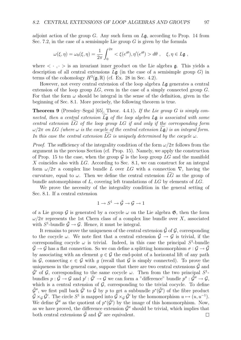adjoint action of the group *G*. Any such form on *L*g, according to Prop. 14 from Sec. 7.2, in the case of a semisimple Lie group *G* is given by the formula

$$
\omega(\xi,\eta) = \omega_0(\xi,\eta) = \frac{1}{2\pi} \int_0^{2\pi} \langle \xi(e^{i\theta}), \eta'(e^{i\theta}) \rangle d\theta , \quad \xi, \eta \in L\mathfrak{g} ,
$$

where  $\langle \cdot, \cdot \rangle$  is an invariant inner product on the Lie algebra g. This yields a description of all central extensions  $L\mathfrak{g}$  (in the case of a semisimple group *G*) in<br>tarms of the sehemology  $H_3^3(\mathfrak{g}, \mathbb{R})$  (of Ex. 28 in Sec. 4.2) terms of the cohomology  $H^3(\mathfrak{g}, \mathbb{R})$  (cf. Ex. 28 in Sec. 4.2).

However, not every central extension of the loop algebra *L*g generates a central extension of the loop group *LG*, even in the case of a simply connected group *G*. For that the form  $\omega$  should be integral in the sense of the definition, given in the beginning of Sec. 8.1. More precisely, the following theorem is true.

**Theorem 9** (Pressley–Segal [65], Theor. 4.4.1)**.** *If the Lie group G is simply connected, then a central extension*  $L\mathfrak{g}$  *of the loop algebra*  $L\mathfrak{g}$  *is associated with some*<br>central extension  $\widetilde{LC}$  of the leap group  $LC$  if and only if the corresponding form *central extension LG*<sup>f</sup> *of the loop group LG if and only if the corresponding form*  $ω/2π$  *on LG* (where  $ω$  *is the cocycle of the central extension*  $L$ **g**) *is an integral form. In this case the central extension*  $LG$  *is uniquely determined by the cocycle*  $\omega$ *.* 

*Proof.* The sufficiency of the integrality condition of the form  $\omega/2\pi$  follows from the argument in the previous Section (cf. Prop. 15). Namely, we apply the construction of Prop. 15 to the case, when the group  $\mathcal G$  is the loop group  $LG$  and the manifold *X* coincides also with *LG*. According to Sec. 8.1, we can construct for an integral form  $\omega/2\pi$  a complex line bundle *L* over *LG* with a connection  $\nabla$ , having the curvature, equal to  $\omega$ . Then we define the central extension  $LG$  as the group of bundle automorphisms of *L*, covering left translations of *LG* by elements of *LG*.

We prove the necessity of the integrality condition in the general setting of Sec. 8.1. If a central extension

$$
1\to S^1\to \tilde{\mathcal{G}}\to \mathcal{G}\to 1
$$

of a Lie group G is generated by a cocycle  $\omega$  on the Lie algebra  $\mathfrak{G}$ , then the form  $ω/2π$  represents the 1st Chern class of a complex line bundle over *X*, associated with  $S^1$ -bundle  $\tilde{\mathcal{G}} \to \mathcal{G}$ . Hence, it must be integral.

It remains to prove the uniqueness of the central extension  $\tilde{\mathcal{G}}$  of  $\mathcal{G}$ , corresponding to the cocycle  $\omega$ . We note first that a central extension  $\hat{\mathcal{G}} \to \mathcal{G}$  is trivial, if the corresponding cocycle  $\omega$  is trivial. Indeed, in this case the principal  $S^1$ -bundle  $\mathcal{G} \to \mathcal{G}$  has a flat connection. So we can define a splitting homomorphism  $\sigma : \mathcal{G} \to \mathcal{G}$ by associating with an element  $q \in \mathcal{G}$  the end-point of a horizontal lift of any path in *G*, connecting  $e \in \mathcal{G}$  with *q* (recall that  $\mathcal{G}$  is simply connected). To prove the uniqueness in the general case, suppose that there are two central extensions  $\hat{G}$  and  $\tilde{\mathcal{G}}'$  of  $\mathcal{G}$ , corresponding to the same cocycle  $\omega$ . Then from the two principal  $S^1$ bundles  $p : \tilde{\mathcal{G}} \to \mathcal{G}$  and  $p' : \tilde{\mathcal{G}}' \to \mathcal{G}$  we can form a "difference" bundle  $p'' : \tilde{\mathcal{G}}'' \to \mathcal{G}$ , which is a central extension of  $G$ , corresponding to the trivial cocycle. To define  $\tilde{\mathcal{G}}'$ <sup>*''*</sup>, we first pull back  $\tilde{\mathcal{G}}'$  to  $\tilde{\mathcal{G}}$  by *p* to get a subbundle  $p^*(\tilde{\mathcal{G}}')$  of the fibre product  $\tilde{\mathcal{G}} \times_{\mathcal{G}} \tilde{\mathcal{G}}'$ . The circle  $S^1$  is mapped into  $\tilde{\mathcal{G}} \times_{\mathcal{G}} \tilde{\mathcal{G}}'$  by the homomorphism  $u \mapsto (u, u^{-1})$ . We define  $\tilde{\mathcal{G}}''$  as the quotient of  $p^*(\tilde{\mathcal{G}}')$  by the image of this homomorphism. Now, as we have proved, the difference extension  $\hat{\mathcal{G}}''$  should be trivial, which implies that both central extensions  $\tilde{G}$  and  $\tilde{G}'$  are equivalent.  $\Box$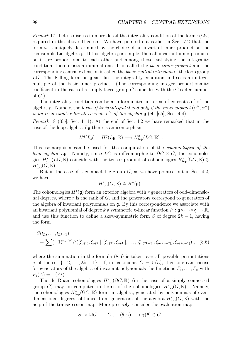*Remark* 17. Let us discuss in more detail the integrality condition of the form  $\omega/2\pi$ , required in the above Theorem. We have pointed out earlier in Sec. 7.2 that the form  $\omega$  is uniquely determined by the choice of an invariant inner product on the semisimple Lie algebra  $\mathfrak{g}$ . If this algebra  $\mathfrak{g}$  is simple, then all invariant inner products on it are proportional to each other and among those, satisfying the integrality condition, there exists a minimal one. It is called the *basic inner product* and the corresponding central extension is called the *basic central extension* of the loop group LG. The Killing form on **g** satisfies the integrality condition and so is an integer multiple of the basic inner product. (The corresponding integer proportionality coefficient in the case of a simply laced group *G* coincides with the Coxeter number of *G*.)

The integrality condition can be also formulated in terms of co-roots  $\alpha^{\vee}$  of the algebra g. Namely, the *form*  $\omega/2\pi$  *is integral if and only if the inner product*  $(\alpha^{\vee}, \alpha^{\vee})$ *is an even number for all co-roots*  $\alpha^{\vee}$  *of the algebra* g (cf. [65], Sec. 4.4).

*Remark* 18 ([65], Sec. 4.11)*.* At the end of Sec. 4.2 we have remarked that in the case of the loop algebra *L*g there is an isomorphism

$$
H^q(L\mathfrak{g}) = H^q(L\mathfrak{g}, \mathbb{R}) \longrightarrow H^q_{\text{top}}(LG, \mathbb{R}) .
$$

This isomorphism can be used for the computation of the *cohomologies of the loop algebra*  $L\mathfrak{g}$ . Namely, since  $LG$  is diffeomorphic to  $\Omega G \times G$ , the cohomologies  $H_{\text{top}}^{*}(LG,\mathbb{R})$  coincide with the tensor product of cohomologies  $H_{\text{top}}^{*}(\Omega G,\mathbb{R})\otimes$  $H^*_{\text{top}}(G,\mathbb{R})$ .

But in the case of a compact Lie group  $G$ , as we have pointed out in Sec. 4.2, we have

$$
H^*_{\text{top}}(G,\mathbb{R}) \cong H^*(\mathfrak{g}) \ .
$$

The cohomologies *H<sup>∗</sup>*(g) form an exterior algebra with *r* generators of odd-dimensional degrees, where *r* is the rank of *G*, and the generators correspond to generators of the algebra of invariant polynomials on g. By this correspondence we associate with an invariant polynomial of degree *k* a symmetric *k*-linear function  $P : \mathfrak{g} \times \cdots \times \mathfrak{g} \to \mathbb{R}$ , and use this function to define a skew-symmetric form *S* of degree 2*k −* 1, having the form

$$
S(\xi_1, \ldots, \xi_{2k-1}) =
$$
  
=  $\sum_{\sigma} (-1)^{\text{sgn}(\sigma)} P([\xi_{\sigma(1)}, \xi_{\sigma(2)}], [\xi_{\sigma(3)}, \xi_{\sigma(4)}], \ldots, [\xi_{\sigma(2k-3)}, \xi_{\sigma(2k-2)}], \xi_{\sigma(2k-1)})$ , (8.6)

where the summation in the formula  $(8.6)$  is taken over all possible permutations  $\sigma$  of the set  $\{1, 2, \ldots, 2k - 1\}$ . If, in particular,  $G = U(n)$ , then one can choose for generators of the algebra of invariant polynomials the functions  $P_1, \ldots, P_n$  with  $P_i(A) = \text{tr}(A^j).$ 

The de Rham cohomologies  $H^*_{top}(\Omega G,\mathbb{R})$  (in the case of a simply connected group *G*) may be computed in terms of the cohomologies  $H^*_{top}(G,\mathbb{R})$ . Namely, the cohomologies  $H^*_{\text{top}}(\Omega G,\mathbb{R})$  form an algebra, generated by polynomials of evendimensional degrees, obtained from generators of the algebra  $H^*_{\text{top}}(G,\mathbb{R})$  with the help of the transgression map. More precisely, consider the evaluation map

$$
S^1 \times \Omega G \longrightarrow G , \quad (\theta, \gamma) \longmapsto \gamma(\theta) \in G .
$$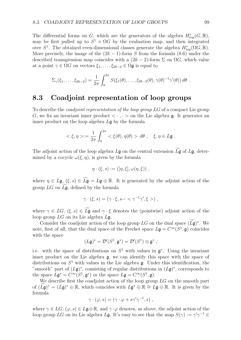The differential forms on *G*, which are the generators of the algebra  $H^*_{\text{top}}(G,\mathbb{R})$ , may be first pulled up to  $S^1 \times \Omega G$  by the evaluation map, and then integrated over  $S^1$ . The obtained even-dimensional classes generate the algebra  $H^*_{top}(\Omega G,\mathbb{R})$ . More precisely, the image of the  $(2k-1)$ -form *S* from the formula (8.6) under the described transgression map coincides with a  $(2k-2)$ -form  $\Sigma$  on  $\Omega G$ , which value at a point  $\gamma \in \Omega G$  on vectors  $\xi_1, \ldots, \xi_{2k-2} \in \Omega \mathfrak{g}$  is equal to

$$
\Sigma_{\gamma}(\xi_1,\ldots,\xi_{2k-2}) = \frac{1}{2\pi} \int_0^{2\pi} S(\xi_1(\theta),\ldots,\xi_{2k-2}(\theta),\gamma(\theta)^{-1}\gamma'(\theta)) d\theta.
$$

### **8.3 Coadjoint representation of loop groups**

To describe the *coadjoint representation of the loop group LG* of a compact Lie group *G*, we fix an invariant inner product  $\langle \cdot, \cdot \rangle$  on the Lie algebra g. It generates an inner product on the loop algebra *L*g by the formula

$$
<\xi, \eta> := \frac{1}{2\pi} \int_0^{2\pi} \langle \xi(\theta), \eta(\theta) \rangle d\theta, \quad \xi, \eta \in L\mathfrak{g}.
$$

The adjoint action of the loop algebra  $L\mathfrak{g}$  on the central extension  $L\mathfrak{g}$  of  $L\mathfrak{g}$ , deter-<br>mined by a securic  $L(\mathfrak{g}, \mathfrak{g})$  is given by the formula mined by a cocycle  $\omega(\xi, \eta)$ , is given by the formula

$$
\eta \cdot (\xi, s) := ([\eta, \xi], \omega(\eta, \xi)) ,
$$

where  $\eta \in L\mathfrak{g}, (\xi, s) \in L\mathfrak{g} = L\mathfrak{g} \oplus \mathbb{R}$ . It is generated by the adjoint action of the group  $LG$  on  $L\mathfrak{g}$ , defined by the formula

$$
\gamma \cdot (\xi, s) = (\gamma \cdot \xi, s - \langle \gamma^{-1} \gamma', \xi \rangle) ,
$$

where  $\gamma \in LG$ ,  $(\xi, s) \in L\mathfrak{g}$  and  $\gamma \cdot \xi$  denotes the (pointwise) adjoint action of the loop group *LG* on its Lie algebra *L*g.

Consider the coadjoint action of the loop group *LG* on the dual space  $(L\mathfrak{g})^*$ . We note, first of all, that the dual space of the Frechet space  $L\mathfrak{g} = C^{\infty}(S^1, \mathfrak{g})$  coincides with the space

$$
(L\mathfrak{g})^* = \mathcal{D}'(S^1, \mathfrak{g}^*) = \mathcal{D}'(S^1) \otimes \mathfrak{g}^*,
$$

i.e. with the space of distributions on *S*<sup>1</sup> with values in g*<sup>∗</sup>*. Using the invariant inner product on the Lie algebra  $\mathfrak{g}$ , we can identify this space with the space of distributions on *S*<sup>1</sup> with values in the Lie algebra g. Under this identification, the "smooth" part of (*L*g)*<sup>∗</sup>*, consisting of regular distributions in (*L*g)*<sup>∗</sup>*, corresponds to the space  $L\mathfrak{g}^* = C^\infty(S^1, \mathfrak{g}^*)$  or the space  $L\mathfrak{g} = C^\infty(S^1, \mathfrak{g})$ .

We describe first the coadjoint action of the loop group *LG* on the smooth part of  $(L\tilde{g})^* = (L\tilde{g})^* \oplus \mathbb{R}$ , which coincides with  $L\tilde{g}^* \oplus \mathbb{R} \cong L\tilde{g} \oplus \mathbb{R}$ . It is given by the formula

$$
\gamma \cdot (\varphi, s) = (\gamma \cdot \varphi + s \gamma' \gamma^{-1}, s) ,
$$

where  $\gamma \in LG$ ,  $(\varphi, s) \in L\mathfrak{g} \oplus \mathbb{R}$ , and  $\gamma \cdot \varphi$  denotes, as above, the adjoint action of the loop group *LG* on its Lie algebra *L*g. It's easy to see that the map  $S(\gamma) := \gamma' \gamma^{-1} \in$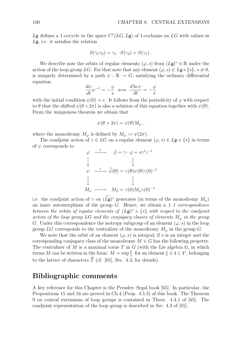$L\mathfrak{g}$  defines a 1-cocycle in the space  $C^1(LG, L\mathfrak{g})$  of 1-cochains on  $LG$  with values in *L*g, i.e. it satisfies the relation

$$
S(\gamma_1\gamma_2)=\gamma_1\cdot S(\gamma_2)+S(\gamma_1).
$$

We describe now the orbits of regular elements ( $\varphi$ , s) from  $(L\mathfrak{g})^* \oplus \mathbb{R}$  under the action of the loop group *LG*. For that note that any element  $(\varphi, s) \in L\mathfrak{g} \times \{s\}, s \neq 0$ , is uniquely determined by a path  $\psi : \mathbb{R} \to G$ , satisfying the ordinary differential equation

$$
\frac{d\psi}{dt}\psi^{-1} = -\frac{\varphi}{s} \iff \frac{d\ln\psi}{dt} = -\frac{\varphi}{s}
$$

with the initial condition  $\psi(0) = e$ . It follows from the periodicity of  $\varphi$  with respect to  $\theta$  that the shifted  $\psi(\theta + 2\pi)$  is also a solution of this equation together with  $\psi(\theta)$ . From the uniqueness theorem we obtain that

$$
\psi(\theta + 2\pi) = \psi(\theta) M_{\varphi} ,
$$

where the monodromy  $M_{\varphi}$  is defined by  $M_{\varphi} := \psi(2\pi)$ .

The coadjoint action of  $\gamma \in LG$  on a regular element  $(\varphi, s) \in L\mathfrak{g} \times \{s\}$  in terms of *ψ* corresponds to

$$
\varphi \xrightarrow{\gamma} \widetilde{\varphi} = \gamma \cdot \varphi + s\gamma'\gamma^{-1}
$$
  

$$
\downarrow \qquad \qquad \downarrow
$$
  

$$
\psi \xrightarrow{\gamma} \widetilde{\psi}(\theta) = \gamma(\theta)\psi(\theta)\gamma(0)^{-1}
$$
  

$$
\downarrow \qquad \qquad \downarrow
$$
  

$$
M_{\varphi} \xrightarrow{\gamma} M_{\widetilde{\varphi}} = \gamma(0)M_{\varphi}\gamma(0)^{-1}
$$

i.e. the coadjoint action of *γ* on  $(Lg)$ <sup>\*</sup> generates (in terms of the monodromy  $M_{\varphi}$ ) an inner automorphism of the group *G*. Hence, we obtain a *1–1 correspondence between the orbits of regular elements of* (*L*g)*<sup>∗</sup> × {s} with respect to the coadjoint action of the loop group LG and the conjugacy classes of elements M<sup>φ</sup> in the group G*. Under this correspondence the isotropy subgroup of an element  $(\varphi, s)$  in the loop group *LG* corresponds to the centralizer of the monodromy  $M_{\varphi}$  in the group *G*.

We note that the orbit of an element  $(\varphi, s)$  is integral, if *s* is an integer and the corresponding conjugacy class of the monodromy  $M \in G$  has the following property. The centralizer of  $M$  is a maximal torus  $T$  in  $G$  (with the Lie algebra  $t$ ), in which terms *M* can be written in the form:  $M = \exp{\frac{\xi}{s}}$  for an element  $\xi \in \mathfrak{t} \subset \mathfrak{t}^*$ , belonging to the lattice of characters  $\hat{T}$  (cf. [65], Sec. 4.3, for details).

### **Bibliographic comments**

A key reference for this Chapter is the Pressley–Segal book [65]. In particular, the Propositions 15 and 16 are proved in Ch.4 (Prop. 4.5.3) of this book. The Theorem 9 on central extensions of loop groups is contained in Theor. 4.4.1 of [65]. The coadjoint representation of the loop group is described in Sec. 4.3 of [65].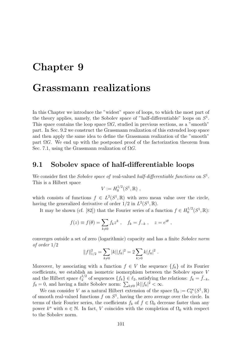### **Chapter 9**

## **Grassmann realizations**

In this Chapter we introduce the "widest" space of loops, to which the most part of the theory applies, namely, the Sobolev space of "half-differentiable" loops on *S*<sup>1</sup>. This space contains the loop space  $\Omega G$ , studied in previous sections, as a "smooth" part. In Sec. 9.2 we construct the Grassmann realization of this extended loop space and then apply the same idea to define the Grassmann realization of the "smooth" part  $\Omega G$ . We end up with the postponed proof of the factorization theorem from Sec. 7.1, using the Grassmann realization of Ω*G*.

### **9.1 Sobolev space of half-differentiable loops**

We consider first the *Sobolev space of* real-valued *half-differentiable functions* on *S*<sup>1</sup>. This is a Hilbert space

$$
V := H_0^{1/2}(S^1, \mathbb{R}) ,
$$

which consists of functions  $f \in L^2(S^1,\mathbb{R})$  with zero mean value over the circle, having the generalized derivative of order  $1/2$  in  $L^2(S^1, \mathbb{R})$ .

It may be shown (cf. [82]) that the Fourier series of a function  $f \in H_0^{1/2}(S^1,\mathbb{R})$ :

$$
f(z) \equiv f(\theta) = \sum_{k \neq 0} f_k z^k
$$
,  $f_k = \bar{f}_{-k}$ ,  $z = e^{i\theta}$ ,

converges outside a set of zero (logarithmic) capacity and has a finite *Sobolev norm of order* 1*/*2

$$
||f||_{1/2}^2 = \sum_{k\neq 0} |k||f_k|^2 = 2 \sum_{k>0} k|f_k|^2.
$$

Moreover, by associating with a function  $f \in V$  the sequence  $\{f_k\}$  of its Fourier coefficients, we establish an isometric isomorphism between the Sobolev space *V* and the Hilbert space  $\ell_2^{1/2}$  of sequences  $\{f_k\} \in \ell_2$ , satisfying the relations:  $f_k = \bar{f}_{-k}$ ,  $f_0 = 0$ , and having a finite Sobolev norm:  $\sum_{k \neq 0} |k||f_k|^2 < \infty$ .

We can consider *V* as a natural Hilbert extension of the space  $\Omega_0 := C_0^{\infty}(S^1, \mathbb{R})$ of smooth real-valued functions *f* on *S*<sup>1</sup>, having the zero average over the circle. In terms of their Fourier series, the coefficients  $f_k$  of  $f \in \Omega_0$  decrease faster than any power  $k^n$  with  $n \in \mathbb{N}$ . In fact, *V* coincides with the completion of  $\Omega_0$  with respect to the Sobolev norm.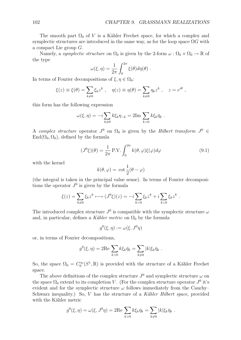The smooth part  $\Omega_0$  of *V* is a Kähler Frechet space, for which a complex and symplectic structures are introduced in the same way, as for the loop space  $\Omega G$  with a compact Lie group *G*.

Namely, a *symplectic structure* on  $\Omega_0$  is given by the 2-form  $\omega : \Omega_0 \times \Omega_0 \to \mathbb{R}$  of the type

$$
\omega(\xi,\eta) = \frac{1}{2\pi} \int_0^{2\pi} \xi(\theta) d\eta(\theta) .
$$

In terms of Fourier decompositions of  $\xi, \eta \in \Omega_0$ :

$$
\xi(z) \equiv \xi(\theta) = \sum_{k \neq 0} \xi_k z^k , \quad \eta(z) \equiv \eta(\theta) = \sum_{k \neq 0} \eta_k z^k , \quad z = e^{i\theta} ,
$$

this form has the following expression

$$
\omega(\xi, \eta) = -i \sum_{k \neq 0} k \xi_k \eta_{-k} = 2 \text{Im} \sum_{k > 0} k \xi_k \bar{\eta}_k.
$$

A *complex structure* operator  $J^0$  on  $\Omega_0$  is given by the *Hilbert transform*  $J^0 \in$  $\text{End}(\Omega_0, \Omega_0)$ , defined by the formula

$$
(J^0\xi)(\theta) = \frac{1}{2\pi} P.V. \int_0^{2\pi} k(\theta, \varphi)\xi(\varphi)d\varphi
$$
 (9.1)

with the kernel

$$
k(\theta, \varphi) = \cot \frac{1}{2}(\theta - \varphi)
$$

(the integral is taken in the principal value sense). In terms of Fourier decompositions the operator  $J^0$  is given by the formula

$$
\xi(z) = \sum_{k \neq 0} \xi_k z^k \longmapsto (J^0 \xi)(z) = -i \sum_{k > 0} \xi_k z^k + i \sum_{k < 0} \xi_k z^k.
$$

The introduced complex structure  $J^0$  is compatible with the symplectic structure  $\omega$ and, in particular, defines a *Kähler metric* on  $\Omega_0$  by the formula

$$
g^0(\xi,\eta):=\omega(\xi,J^0\eta)
$$

or, in terms of Fourier decompositions,

$$
g^{0}(\xi,\eta) = 2\text{Re}\sum_{k>0} k\xi_{k}\bar{\eta}_{k} = \sum_{k\neq 0} |k|\xi_{k}\bar{\eta}_{k} .
$$

So, the space  $\Omega_0 = C_0^{\infty}(S^1, \mathbb{R})$  is provided with the structure of a Kähler Frechet space.

The above definitions of the complex structure  $J^0$  and symplectic structure  $\omega$  on the space  $\Omega_0$  extend to its completion *V*. (For the complex structure operator  $J^0$  it's evident and for the symplectic structure  $\omega$  follows immediately from the Cauchy– Schwarz inequality.) So, *V* has the structure of a *Kähler Hilbert space*, provided with the Kähler metric

$$
g^{0}(\xi,\eta) = \omega(\xi,J^{0}\eta) = 2\text{Re}\sum_{k>0} k\xi_{k}\bar{\eta}_{k} = \sum_{k\neq 0} |k|\xi_{k}\bar{\eta}_{k} .
$$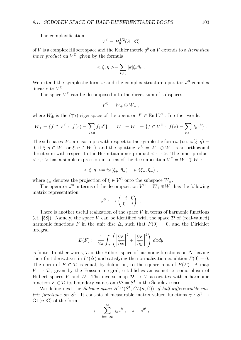The complexification

$$
V^{\mathbb{C}} = H_0^{1/2}(S^1, \mathbb{C})
$$

of *V* is a complex Hilbert space and the Kähler metric  $q<sup>0</sup>$  on *V* extends to a *Hermitian inner product* on  $V^{\mathbb{C}}$ , given by the formula

$$
\langle \xi, \eta \rangle = \sum_{k \neq 0} |k| \xi_k \bar{\eta}_k .
$$

We extend the symplectic form  $\omega$  and the complex structure operator  $J^0$  complex linearly to  $V^{\mathbb{C}}$ .

The space  $V^{\mathbb{C}}$  can be decomposed into the direct sum of subspaces

$$
V^{\mathbb{C}} = W_+ \oplus W_- ,
$$

where  $W_+$  is the  $(\mp i)$ -eigenspace of the operator  $J^0 \in \text{End } V^\mathbb{C}$ . In other words,

$$
W_+ = \{ f \in V^{\mathbb{C}} : f(z) = \sum_{k>0} f_k z^k \}, \quad W_- = \overline{W}_+ = \{ f \in V^{\mathbb{C}} : f(z) = \sum_{k<0} f_k z^k \}.
$$

The subspaces  $W_{\pm}$  are isotropic with respect to the symplectic form  $\omega$  (i.e.  $\omega(\xi, \eta) =$ 0, if  $\xi, \eta \in W_+$  or  $\xi, \eta \in W_-\$ ), and the splitting  $V^{\mathfrak{C}} = W_+ \oplus W_-$  is an orthogonal direct sum with respect to the Hermitian inner product  $\langle \cdot, \cdot \rangle$ . The inner product  $\langle \cdot, \cdot \rangle$  has a simple expression in terms of the decomposition  $V^{\mathbb{C}} = W_+ \oplus W_-\$ :

$$
\langle \xi, \eta \rangle = i\omega(\xi_+, \bar{\eta}_+) - i\omega(\xi_-, \bar{\eta}_-),
$$

where  $\xi$ <sup>+</sup> denotes the projection of  $\xi \in V^{\mathbb{C}}$  onto the subspace  $W$ <sup>+</sup>.

The operator  $J^0$  in terms of the decomposition  $V^{\mathbb{C}} = W_+ \oplus W_-$  has the following matrix representation

$$
J^0 \longleftrightarrow \begin{pmatrix} -i & 0 \\ 0 & i \end{pmatrix} .
$$

There is another useful realization of the space *V* in terms of harmonic functions (cf.  $[58]$ ). Namely, the space *V* can be identified with the space  $\mathcal D$  of (real-valued) harmonic functions *F* in the unit disc  $\Delta$ , such that  $F(0) = 0$ , and the Dirichlet integral

$$
E(F) := \frac{1}{2\pi} \int_{\Delta} \left( \left| \frac{\partial F}{\partial x} \right|^2 + \left| \frac{\partial F}{\partial y} \right|^2 \right) dx dy
$$

is finite. In other words,  $\mathcal{D}$  is the Hilbert space of harmonic functions on  $\Delta$ , having their first derivatives in  $L^2(\Delta)$  and satisfying the normalization condition  $F(0) = 0$ . The norm of  $F \in \mathcal{D}$  is equal, by definition, to the square root of  $E(F)$ . A map  $V \rightarrow \mathcal{D}$ , given by the Poisson integral, establishes an isometric isomorphism of Hilbert spaces *V* and *D*. The inverse map  $\mathcal{D} \to V$  associates with a harmonic function  $F \in \mathcal{D}$  its boundary values on  $\partial \Delta = S^1$  in the Sobolev sense.

We define next the *Sobolev space*  $H^{1/2}(S^1, GL(n,\mathbb{C}))$  of half-differentiable ma*trix functions on*  $S^1$ . It consists of measurable matrix-valued functions  $\gamma : S^1 \rightarrow$  $GL(n,\mathbb{C})$  of the form

$$
\gamma = \sum_{k=-\infty}^{\infty} \gamma_k z^k , \quad z = e^{i\theta} ,
$$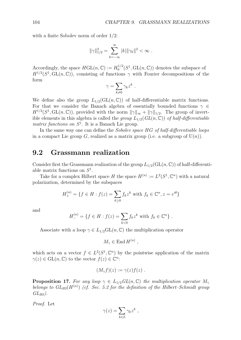with a finite Sobolev norm of order 1*/*2:

$$
\|\gamma\|_{1/2}^2 = \sum_{k=-\infty}^{\infty} |k| \|\gamma_k\|^2 < \infty.
$$

Accordingly, the space  $HGL(n, \mathbb{C}) := H_0^{1/2}(S^1, GL(n, \mathbb{C}))$  denotes the subspace of  $H^{1/2}(S^1, GL(n,\mathbb{C}))$ , consisting of functions  $\gamma$  with Fourier decompositions of the form

$$
\gamma = \sum_{k\neq 0} \gamma_k z^k .
$$

We define also the group  $L_{1/2}(\text{GL}(n,\mathbb{C}))$  of half-differentiable matrix functions. For that we consider the Banach algebra of essentially bounded functions *γ ∈*  $H^{1/2}(S^1, GL(n,\mathbb{C}))$ , provided with the norm  $||\gamma||_{\infty} + ||\gamma||_{1/2}$ . The group of invertible elements in this algebra is called the *group*  $L_{1/2}(GL(n,\mathbb{C}))$  of half-differentiable *matrix functions on S*<sup>1</sup>. It is a Banach Lie group.

In the same way one can define the *Sobolev space HG of half-differentiable loops* in a compact Lie group *G*, realized as a matrix group (i.e. a subgroup of  $U(n)$ ).

### **9.2 Grassmann realization**

Consider first the Grassmann realization of the group  $L_{1/2}(\text{GL}(n,\mathbb{C}))$  of half-differentiable matrix functions on *S*<sup>1</sup>.

Take for a complex Hilbert space *H* the space  $H^{(n)} := L^2(S^1, \mathbb{C}^n)$  with a natural polarization, determined by the subspaces

$$
H_+^{(n)} = \{ f \in H : f(z) = \sum_{k \ge 0} f_k z^k \text{ with } f_k \in \mathbb{C}^n, z = e^{i\theta} \}
$$

and

$$
H_{-}^{(n)} = \{ f \in H : f(z) = \sum_{k < 0} f_k z^k \text{ with } f_k \in \mathbb{C}^n \} .
$$

Associate with a loop  $\gamma \in L_{1/2}GL(n,\mathbb{C})$  the multiplication operator

 $M_{\gamma} \in \text{End } H^{(n)}$ ,

which acts on a vector  $f \in L^2(S^1, \mathbb{C}^n)$  by the pointwise application of the matrix  $\gamma(z) \in GL(n, \mathbb{C})$  to the vector  $f(z) \in \mathbb{C}^n$ :

$$
(M_{\gamma}f)(z) := \gamma(z)f(z) .
$$

**Proposition 17.** For any loop  $\gamma \in L_{1/2}GL(n,\mathbb{C})$  the multiplication operator  $M_{\gamma}$ belongs to  $GL_{HS}(H^{(n)})$  (cf. Sec. 5.2 for the definition of the Hilbert–Schmidt group *GLHS).*

*Proof.* Let

$$
\gamma(z) = \sum_{k \in \mathbb{Z}} \gamma_k z^k ,
$$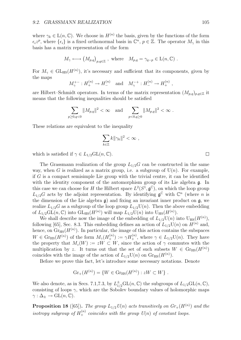where  $\gamma_k \in L(n, \mathbb{C})$ . We choose in  $H^{(n)}$  the basis, given by the functions of the form  $\epsilon_i z^p$ , where  $\{\epsilon_i\}$  is a fixed orthonormal basis in  $\mathbb{C}^n$ ,  $p \in \mathbb{Z}$ . The operator  $M_\gamma$  in this basis has a matrix representation of the form

$$
M_{\gamma} \longleftrightarrow (M_{p,q})_{p,q \in \mathbb{Z}}
$$
, where  $M_{p,q} = \gamma_{q-p} \in L(n, \mathbb{C})$ .

For  $M_{\gamma} \in GL_{HS}(H^{(n)})$ , it's necessary and sufficient that its components, given by the maps

$$
M_{\gamma}^{+-}: H_{+}^{(n)} \to H_{-}^{(n)}
$$
 and  $M_{\gamma}^{-+}: H_{-}^{(n)} \to H_{+}^{(n)}$ ,

are Hilbert–Schmidt operators. In terms of the matrix representation  $(M_{p,q})_{p,q\in\mathbb{Z}}$  it means that the following inequalities should be satisfied

$$
\sum_{p\geq 0, q<0} \|M_{p,q}\|^2 < \infty \quad \text{and} \quad \sum_{p<0, q\geq 0} \|M_{p,q}\|^2 < \infty.
$$

These relations are equivalent to the inequality

$$
\sum_{k\in\mathbb{Z}}k\|\gamma_k\|^2<\infty,
$$

which is satisfied if  $\gamma \in L_{1/2}GL(n,\mathbb{C})$ .

The Grassmann realization of the group  $L_{1/2}G$  can be constructed in the same way, when *G* is realized as a matrix group, i.e. a subgroup of  $U(n)$ . For example, if *G* is a compact semisimple Lie group with the trivial centre, it can be identified with the identity component of the automorphism group of its Lie algebra g. In this case we can choose for *H* the Hilbert space  $L^2(S^1, \mathfrak{g}^{\mathbb{C}})$ , on which the loop group  $L_{1/2}G$  acts by the adjoint representation. By identifying  $\mathfrak{g}^{\mathbb{C}}$  with  $\mathbb{C}^n$  (where *n* is the dimension of the Lie algebra  $\mathfrak{g}$ ) and fixing an invariant inner product on  $\mathfrak{g}$ , we realize  $L_{1/2}G$  as a subgroup of the loop group  $L_{1/2}U(n)$ . Then the above embedding of  $L_{1/2}GL(n,\mathbb{C})$  into  $GL_{HS}(H^{(n)})$  will map  $L_{1/2}U(n)$  into  $U_{HS}(H^{(n)})$ .

We shall describe now the image of the embedding of  $L_{1/2}U(n)$  into  $U_{HS}(H^{(n)}),$ following [65], Sec. 8.3. This embedding defines an action of  $L_{1/2}U(n)$  on  $H^{(n)}$  and, hence, on  $\mathrm{Gr}_{\mathrm{HS}}(H^{(n)})$ . In particular, the image of this action contains the subspaces  $W \in \text{Gr}_{\text{HS}}(H^{(n)})$  of the form  $M_{\gamma}(H_{+}^{(n)}) := \gamma H_{+}^{(n)}$ , where  $\gamma \in L_{1/2}(\mathbb{U}(n))$ . They have the property that  $M_z(W) := zW \subset W$ , since the action of  $\gamma$  commutes with the multiplication by z. It turns out that the set of such subsets  $W \in \mathrm{Gr}_{\mathrm{HS}}(H^{(n)})$ coincides with the image of the action of  $L_{1/2}U(n)$  on  $\text{Gr}_{HS}(H^{(n)})$ .

Before we prove this fact, let's introduce some necessary notations. Denote

$$
Gr_+(H^{(n)}) = \{ W \in Gr_{HS}(H^{(n)}) : zW \subset W \} .
$$

We also denote, as in Secs. 7.1,7.3, by  $L_{1/2}^{\pm}GL(n,\mathbb{C})$  the subgroups of  $L_{1/2}GL(n,\mathbb{C}),$ consisting of loops  $\gamma$ , which are the Sobolev boundary values of holomorphic maps  $\gamma : \Delta_{\pm} \to GL(n, \mathbb{C}).$ 

**Proposition 18** ([65]). The group  $L_{1/2}U(n)$  acts transitively on  $Gr_{+}(H^{(n)})$  and the *isotropy subgroup of*  $H_+^{(n)}$  *coincides with the group*  $U(n)$  *of constant loops.* 

 $\Box$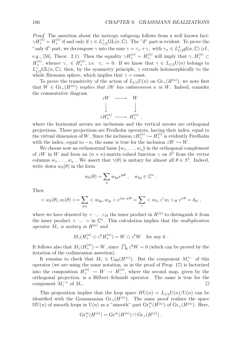*Proof.* The assertion about the isotropy subgroup follows from a well known fact:  $\gamma H_+^{(n)} = H_+^{(n)}$  if and only if  $\gamma \in L_{1/2}^+ \text{GL}(n, \mathbb{C})$ . The "if" part is evident. To prove the "only if" part, we decompose  $\gamma$  into the sum  $\gamma = \gamma_+ + \gamma_-$  with  $\gamma_\pm \in L^{\pm}_{1/2}$ gl(*n*, **C**) (cf., e.g., [58], Theor. 2.1). Then the equality  $\gamma H_+^{(n)} = H_+^{(n)}$  will imply that  $\gamma_- H_+^{(n)} \subset$ *H*<sup>(*n*</sup>)</sub>, whence  $\gamma$ <sub>−</sub>  $\in$  *H*<sub>+</sub><sup>(*n*</sup>), i.e.  $\gamma$ <sub>−</sub> = 0. If we know that  $\gamma \in L_{1/2}U(n)$  belongs to  $L_{1/2}^+$ GL(*n*, **C**), then, by the symmetry principle,  $\gamma$  extends holomorphically to the whole Riemann sphere, which implies that  $\gamma = \text{const.}$ 

To prove the transitivity of the action of  $L_{1/2}U(n)$  on  $\mathrm{Gr}_+(H^{(n)})$ , we note first that  $W \in \mathrm{Gr}_+(H^{(n)})$  *implies that*  $zW$  *has codimension n in W*. Indeed, consider the commutative diagram

$$
zW \longrightarrow W
$$
  
\n
$$
\downarrow \qquad \qquad \downarrow
$$
  
\n
$$
zH_{+}^{(n)} \longrightarrow H_{+}^{(n)},
$$

where the horizontal arrows are inclusions and the vertical arrows are orthogonal projections. These projections are Fredholm operators, having their index, equal to the virtual dimension of *W*. Since the inclusion  $zH_+^{(n)} \hookrightarrow H_+^{(n)}$  is evidently Fredholm with the index, equal to  $-n$ , the same is true for the inclusion  $zW \hookrightarrow W$ .

We choose now an orthonormal basis  $\{w_1, \ldots, w_n\}$  in the orthogonal complement of *zW* in *W* and form an  $(n \times n)$ -matrix-valued function  $\gamma$  on  $S^1$  from the vector columns  $w_1, \ldots, w_n$ . We assert that  $\gamma(\theta)$  is unitary for almost all  $\theta \in S^1$ . Indeed, write down  $w_k(\theta)$  in the form

$$
w_k(\theta) = \sum_p w_{kp} e^{ip\theta} , \quad w_{kp} \in \mathbb{C}^n .
$$

Then

$$
< w_k(\theta), w_l(\theta) > = \sum_{p,q} < w_{kp}, w_{lq} > e^{i(q-p)\theta} = \sum_r < w_k, z^r w_l >_H e^{ir\theta} = \delta_{kl},
$$

where we have denoted by  $\langle \cdot, \cdot \rangle_H$  the inner product in  $H^{(n)}$  to distinguish it from the inner product  $\langle \cdot, \cdot \rangle$  in  $\mathbb{C}^n$ . This calculation implies that the *multiplication operator*  $M_{\gamma}$  *is unitary in*  $H^{(n)}$  *and* 

$$
M_{\gamma}(H_{+}^{(n)} \ominus z^{k}H_{+}^{(n)}) = W \ominus z^{k}W \text{ for any } k .
$$

It follows also that  $M_{\gamma}(H_{+}^{(n)}) = W$ , since  $\bigcap_{k} z^{k}W = 0$  (which can be proved by the iteration of the codimension assertion).

It remains to check that  $M_{\gamma} \in U_{HS}(H^{(n)})$ . But the component  $M_{\gamma}^{+-}$  of this operator (we are using the same notation, as in the proof of Prop. 17) is factorized into the composition  $H_+^{(n)} \to W \to H_-^{(n)}$ , where the second map, given by the orthogonal projection, is a Hilbert–Schmidt operator. The same is true for the component  $M_{\gamma}^{-+}$  of  $M_{\gamma}$ .  $\Box$ 

This proposition implies that the loop space  $H\text{U}(n) = L_{1/2}\text{U}(n)/\text{U}(n)$  can be identified with the Grassmanian  $\text{Gr}_{+}(H^{(n)})$ . The same proof realizes the space  $\Omega$ U(*n*) of smooth loops in U(*n*) as a "smooth" part  $\mathrm{Gr}^{\infty}_{+}(H^{(n)})$  of  $\mathrm{Gr}_{+}(H^{(n)})$ . Here,

$$
\operatorname{Gr}_{+}^{\infty}(H^{(n)}) = \operatorname{Gr}^{\infty}(H^{(n)}) \cap \operatorname{Gr}_{+}(H^{(n)}) ,
$$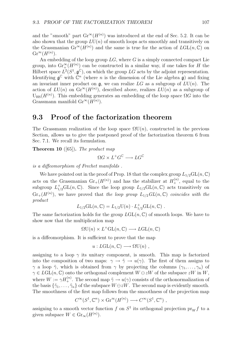and the "smooth" part  $\mathrm{Gr}^{\infty}(H^{(n)})$  was introduced at the end of Sec. 5.2. It can be also shown that the group  $L\mathrm{U}(n)$  of smooth loops acts smoothly and transitively on the Grassmanian  $\mathrm{Gr}^{\infty}(H^{(n)})$  and the same is true for the action of  $L\mathrm{GL}(n,\mathbb{C})$  on  $\mathrm{Gr}^{\infty}(H^{(n)})$ .

An embedding of the loop group *LG*, where *G* is a simply connected compact Lie group, into  $\mathrm{Gr}_{+}^{\infty}(H^{(n)})$  can be constructed in a similar way, if one takes for *H* the Hilbert space  $L^2(S^1, \mathfrak{g}^{\mathbb{C}})$ , on which the group *LG* acts by the adjoint representation. Identifying  $\mathfrak{g}^{\mathbb{C}}$  with  $\mathbb{C}^n$  (where *n* is the dimension of the Lie algebra  $\mathfrak{g}$ ) and fixing an invariant inner product on  $\mathfrak{g}$ , we can realize  $LG$  as a subgroup of  $LU(n)$ . The action of  $L\mathrm{U}(n)$  on  $\mathrm{Gr}^{\infty}(H^{(n)})$ , described above, realizes  $L\mathrm{U}(n)$  as a subgroup of U<sub>HS</sub> $(H^{(n)})$ . This embedding generates an embedding of the loop space  $\Omega G$  into the Grassmann manifold  $\mathrm{Gr}^{\infty}(H^{(n)})$ .

### **9.3 Proof of the factorization theorem**

The Grassmann realization of the loop space  $\Omega U(n)$ , constructed in the previous Section, allows us to give the postponed proof of the factorization theorem 6 from Sec. 7.1. We recall its formulation.

**Theorem 10** ([65])**.** *The product map*

$$
\Omega G \times L^+G^{\mathbb{C}} \longrightarrow LG^{\mathbb{C}}
$$

*is a diffeomorphism of Frechet manifolds .*

We have pointed out in the proof of Prop. 18 that the complex group  $L_{1/2}GL(n,\mathbb{C})$ acts on the Grassmanian  $\text{Gr}_{+}(H^{(n)})$  and has the stabilizer at  $H_{+}^{(n)}$ , equal to the subgroup  $L_{1/2}^+\text{GL}(n,\mathbb{C})$ . Since the loop group  $L_{1/2}\text{GL}(n,\mathbb{C})$  acts transitively on  $\text{Gr}_{+}(H^{(n)})$ , we have proved that *the loop group*  $L_{1/2}GL(n,\mathbb{C})$  *coincides with the product*

$$
L_{1/2}GL(n,\mathbb{C})=L_{1/2}U(n)\cdot L_{1/2}^{+}GL(n,\mathbb{C}) .
$$

The same factorization holds for the group  $LGL(n,\mathbb{C})$  of smooth loops. We have to show now that the multiplication map

$$
\Omega\mathrm{U}(n)\times L^+\mathrm{GL}(n,\mathbb{C})\longrightarrow L\mathrm{GL}(n,\mathbb{C})
$$

is a diffeomorphism. It is sufficient to prove that the map

$$
u: LGL(n, \mathbb{C}) \longrightarrow \Omega U(n) ,
$$

assigning to a loop  $\gamma$  its unitary component, is smooth. This map is factorized into the composition of two maps:  $\gamma \to \tilde{\gamma} \to u(\gamma)$ . The first of them assigns to *γ* a loop  $\tilde{\gamma}$ , which is obtained from *γ* by projecting the columns  $(\gamma_1, \ldots, \gamma_n)$  of  $\gamma \in LGL(n,\mathbb{C})$  onto the orthogonal complement  $W \ominus zW$  of the subspace  $zW$  in  $W$ , where  $W := \gamma H_+^{(n)}$ . The second map  $\tilde{\gamma} \to u(\gamma)$  consists of the orthonormalization of the basis  $\{\tilde{\gamma}_1, \ldots, \tilde{\gamma}_n\}$  of the subspace  $W \ominus zW$ . The second map is evidently smooth. The smoothness of the first map follows from the smoothness of the projection map

$$
C^{\infty}(S^1, \mathbb{C}^n) \times \text{Gr}^{\infty}(H^{(n)}) \longrightarrow C^{\infty}(S^1, \mathbb{C}^n)
$$
,

assigning to a smooth vector function *f* on  $S<sup>1</sup>$  its orthogonal projection  $pr_W f$  to a given subspace  $W \in \mathrm{Gr}_{\infty}(H^{(n)})$ .